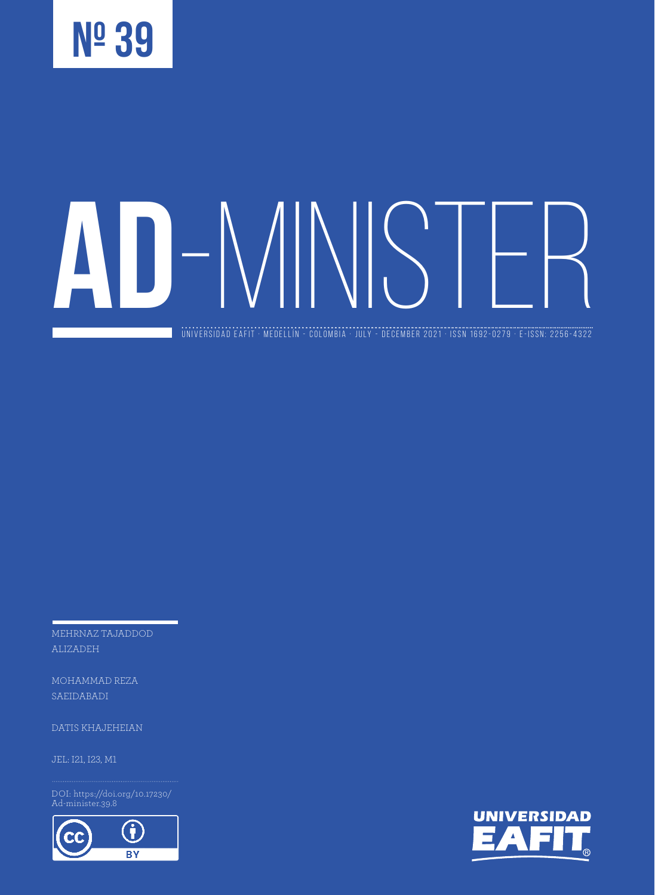

universidad eafit · medellín - colombia · JULY - DECEMBER 2021 · ISSN 1692-0279 · e-ISSN: 2256-4322

MEHRNAZ TAJADDOD ALIZADEH

MOHAMMAD REZA SAEIDABADI

DATIS KHAJEHEIAN

DOI: https://doi.org/10.17230/ Ad-minister.39.8



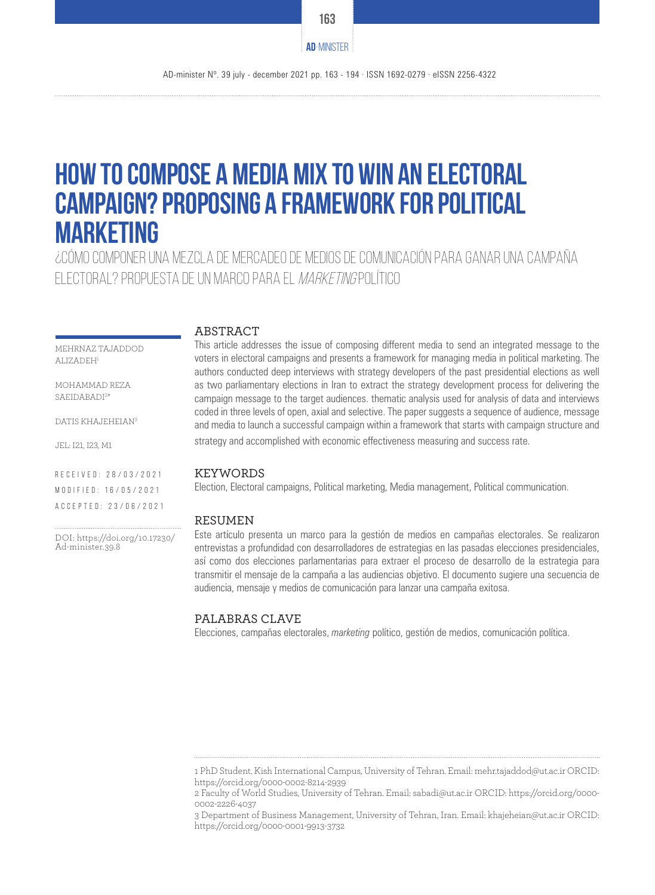# **How to compose a media mix to win an electoral campaign? proposing a framework for political marketing**

¿Cómo componer una mezcla de mercadeo de medios de comunicación para ganar una campaña electoral? Propuesta de un marco para el marketing político

#### **ABSTRACT**

MEHRNAZ TAJADDOD ALIZADEH<sup>1</sup>

MOHAMMAD REZA SAEIDABADI<sup>2\*</sup>

DATIS KHAJEHEIAN3

JEL: I21, I23, M1

R e c e i v e d : 2 8 / 0 3 / 2 0 2 1 M O D I F I E D : 16/05/2021 Accepted: 23/06/2021

DOI: https://doi.org/10.17230/ Ad-minister.39.8

This article addresses the issue of composing different media to send an integrated message to the voters in electoral campaigns and presents a framework for managing media in political marketing. The authors conducted deep interviews with strategy developers of the past presidential elections as well as two parliamentary elections in Iran to extract the strategy development process for delivering the campaign message to the target audiences. thematic analysis used for analysis of data and interviews coded in three levels of open, axial and selective. The paper suggests a sequence of audience, message and media to launch a successful campaign within a framework that starts with campaign structure and strategy and accomplished with economic effectiveness measuring and success rate.

#### KEYWORDS

Election, Electoral campaigns, Political marketing, Media management, Political communication.

#### **RESUMEN**

Este artículo presenta un marco para la gestión de medios en campañas electorales. Se realizaron entrevistas a profundidad con desarrolladores de estrategias en las pasadas elecciones presidenciales, así como dos elecciones parlamentarias para extraer el proceso de desarrollo de la estrategia para transmitir el mensaje de la campaña a las audiencias objetivo. El documento sugiere una secuencia de audiencia, mensaje y medios de comunicación para lanzar una campaña exitosa.

#### PALABRAS CLAVE

Elecciones, campañas electorales, *marketing* político, gestión de medios, comunicación política.

**163**

**AD**-MINISTER

<sup>1</sup> PhD Student. Kish International Campus, University of Tehran. Email: mehr.tajaddod@ut.ac.ir ORCID: https://orcid.org/0000-0002-8214-2939

<sup>2</sup> Faculty of World Studies, University of Tehran. Email: sabadi@ut.ac.ir ORCID: https://orcid.org/0000- 0002-2226-4037

<sup>3</sup> Department of Business Management, University of Tehran, Iran. Email: khajeheian@ut.ac.ir ORCID: https://orcid.org/0000-0001-9913-3732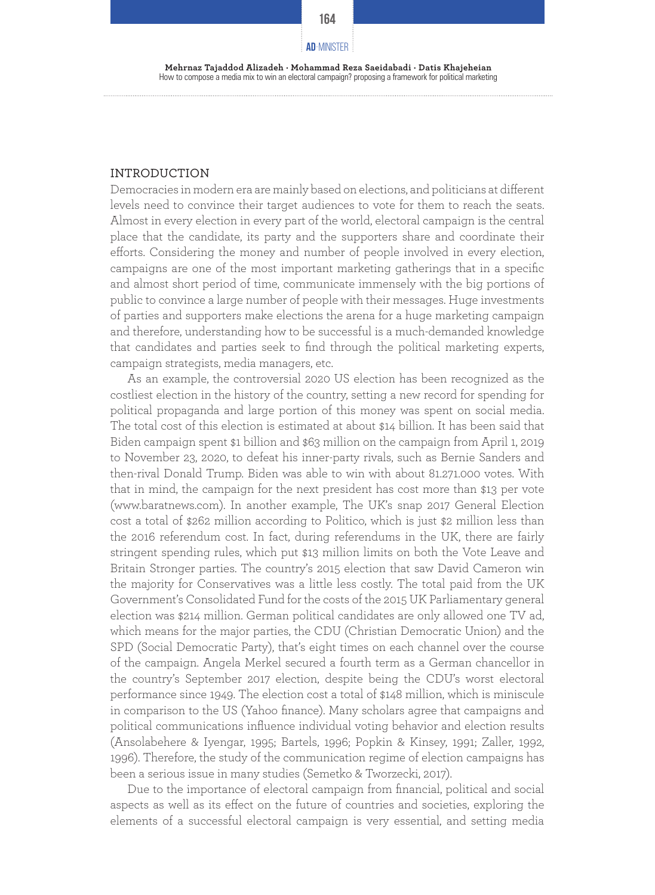**164**

#### **AD**-MINISTER

**Mehrnaz Tajaddod Alizadeh · Mohammad Reza Saeidabadi · Datis Khajeheian** How to compose a media mix to win an electoral campaign? proposing a framework for political marketing

#### INTRODUCTION

Democracies in modern era are mainly based on elections, and politicians at different levels need to convince their target audiences to vote for them to reach the seats. Almost in every election in every part of the world, electoral campaign is the central place that the candidate, its party and the supporters share and coordinate their efforts. Considering the money and number of people involved in every election, campaigns are one of the most important marketing gatherings that in a specific and almost short period of time, communicate immensely with the big portions of public to convince a large number of people with their messages. Huge investments of parties and supporters make elections the arena for a huge marketing campaign and therefore, understanding how to be successful is a much-demanded knowledge that candidates and parties seek to find through the political marketing experts, campaign strategists, media managers, etc.

As an example, the controversial 2020 US election has been recognized as the costliest election in the history of the country, setting a new record for spending for political propaganda and large portion of this money was spent on social media. The total cost of this election is estimated at about \$14 billion. It has been said that Biden campaign spent \$1 billion and \$63 million on the campaign from April 1, 2019 to November 23, 2020, to defeat his inner-party rivals, such as Bernie Sanders and then-rival Donald Trump. Biden was able to win with about 81.271.000 votes. With that in mind, the campaign for the next president has cost more than \$13 per vote (www.baratnews.com). In another example, The UK's snap 2017 General Election cost a total of \$262 million according to Politico, which is just \$2 million less than the 2016 referendum cost. In fact, during referendums in the UK, there are fairly stringent spending rules, which put \$13 million limits on both the Vote Leave and Britain Stronger parties. The country's 2015 election that saw David Cameron win the majority for Conservatives was a little less costly. The total paid from the UK Government's Consolidated Fund for the costs of the 2015 UK Parliamentary general election was \$214 million. German political candidates are only allowed one TV ad, which means for the major parties, the CDU (Christian Democratic Union) and the SPD (Social Democratic Party), that's eight times on each channel over the course of the campaign. Angela Merkel secured a fourth term as a German chancellor in the country's September 2017 election, despite being the CDU's worst electoral performance since 1949. The election cost a total of \$148 million, which is miniscule in comparison to the US (Yahoo finance). Many scholars agree that campaigns and political communications influence individual voting behavior and election results (Ansolabehere & Iyengar, 1995; Bartels, 1996; Popkin & Kinsey, 1991; Zaller, 1992, 1996). Therefore, the study of the communication regime of election campaigns has been a serious issue in many studies (Semetko & Tworzecki, 2017).

Due to the importance of electoral campaign from financial, political and social aspects as well as its effect on the future of countries and societies, exploring the elements of a successful electoral campaign is very essential, and setting media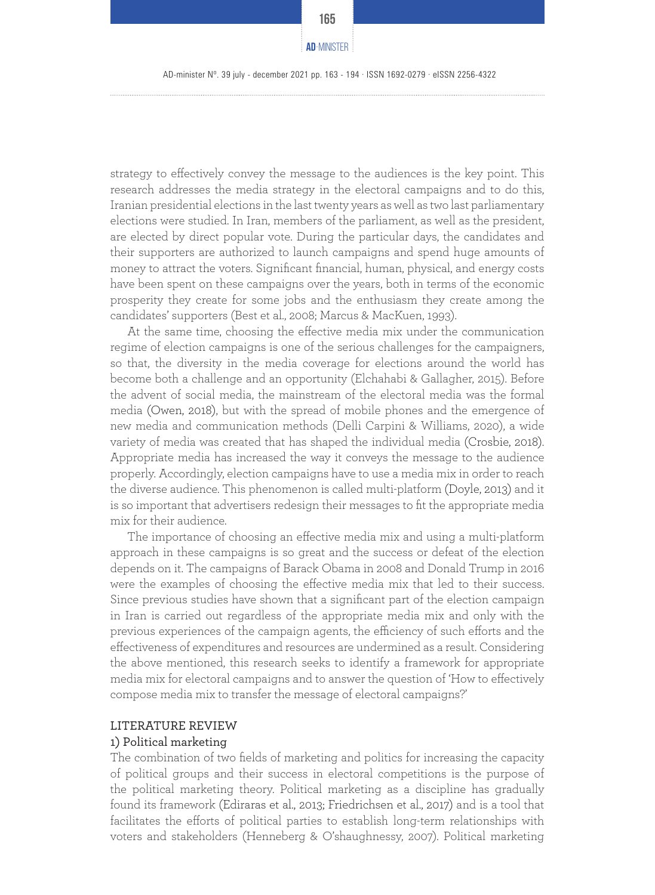AD-minister Nº. 39 july - december 2021 pp. 163 - 194 · ISSN 1692-0279 · eISSN 2256-4322

strategy to effectively convey the message to the audiences is the key point. This research addresses the media strategy in the electoral campaigns and to do this, Iranian presidential elections in the last twenty years as well as two last parliamentary elections were studied. In Iran, members of the parliament, as well as the president, are elected by direct popular vote. During the particular days, the candidates and their supporters are authorized to launch campaigns and spend huge amounts of money to attract the voters. Significant financial, human, physical, and energy costs have been spent on these campaigns over the years, both in terms of the economic prosperity they create for some jobs and the enthusiasm they create among the candidates' supporters (Best et al., 2008; Marcus & MacKuen, 1993).

At the same time, choosing the effective media mix under the communication regime of election campaigns is one of the serious challenges for the campaigners, so that, the diversity in the media coverage for elections around the world has become both a challenge and an opportunity (Elchahabi & Gallagher, 2015). Before the advent of social media, the mainstream of the electoral media was the formal media (Owen, 2018), but with the spread of mobile phones and the emergence of new media and communication methods (Delli Carpini & Williams, 2020), a wide variety of media was created that has shaped the individual media (Crosbie, 2018). Appropriate media has increased the way it conveys the message to the audience properly. Accordingly, election campaigns have to use a media mix in order to reach the diverse audience. This phenomenon is called multi-platform (Doyle, 2013) and it is so important that advertisers redesign their messages to fit the appropriate media mix for their audience.

The importance of choosing an effective media mix and using a multi-platform approach in these campaigns is so great and the success or defeat of the election depends on it. The campaigns of Barack Obama in 2008 and Donald Trump in 2016 were the examples of choosing the effective media mix that led to their success. Since previous studies have shown that a significant part of the election campaign in Iran is carried out regardless of the appropriate media mix and only with the previous experiences of the campaign agents, the efficiency of such efforts and the effectiveness of expenditures and resources are undermined as a result. Considering the above mentioned, this research seeks to identify a framework for appropriate media mix for electoral campaigns and to answer the question of 'How to effectively compose media mix to transfer the message of electoral campaigns?'

#### LITERATURE REVIEW

#### 1) Political marketing

The combination of two fields of marketing and politics for increasing the capacity of political groups and their success in electoral competitions is the purpose of the political marketing theory. Political marketing as a discipline has gradually found its framework (Ediraras et al., 2013; Friedrichsen et al., 2017) and is a tool that facilitates the efforts of political parties to establish long-term relationships with voters and stakeholders (Henneberg & O'shaughnessy, 2007). Political marketing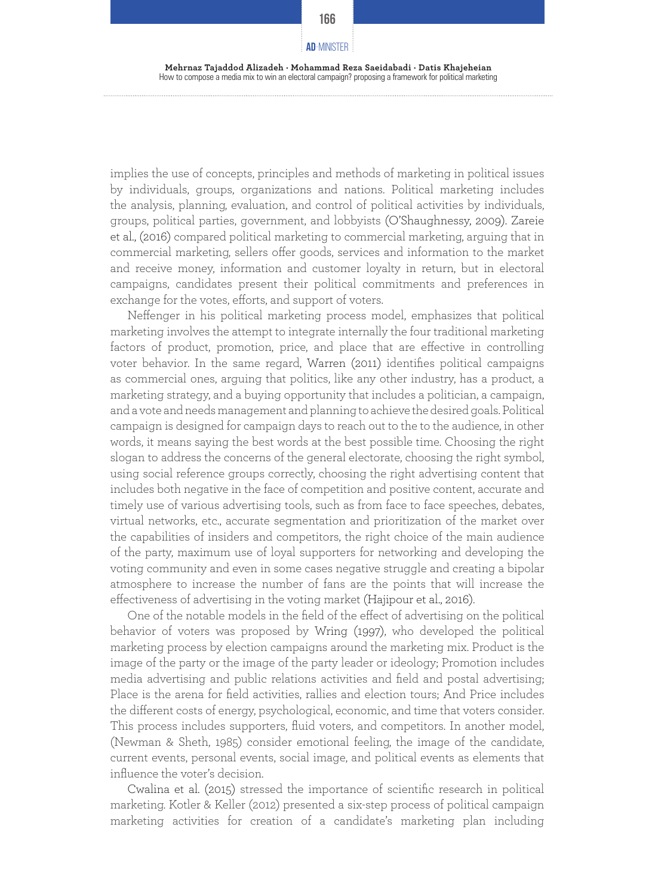**Mehrnaz Tajaddod Alizadeh · Mohammad Reza Saeidabadi · Datis Khajeheian** How to compose a media mix to win an electoral campaign? proposing a framework for political marketing

implies the use of concepts, principles and methods of marketing in political issues by individuals, groups, organizations and nations. Political marketing includes the analysis, planning, evaluation, and control of political activities by individuals, groups, political parties, government, and lobbyists (O'Shaughnessy, 2009). Zareie et al., (2016) compared political marketing to commercial marketing, arguing that in commercial marketing, sellers offer goods, services and information to the market and receive money, information and customer loyalty in return, but in electoral campaigns, candidates present their political commitments and preferences in exchange for the votes, efforts, and support of voters.

Neffenger in his political marketing process model, emphasizes that political marketing involves the attempt to integrate internally the four traditional marketing factors of product, promotion, price, and place that are effective in controlling voter behavior. In the same regard, Warren (2011) identifies political campaigns as commercial ones, arguing that politics, like any other industry, has a product, a marketing strategy, and a buying opportunity that includes a politician, a campaign, and a vote and needs management and planning to achieve the desired goals. Political campaign is designed for campaign days to reach out to the to the audience, in other words, it means saying the best words at the best possible time. Choosing the right slogan to address the concerns of the general electorate, choosing the right symbol, using social reference groups correctly, choosing the right advertising content that includes both negative in the face of competition and positive content, accurate and timely use of various advertising tools, such as from face to face speeches, debates, virtual networks, etc., accurate segmentation and prioritization of the market over the capabilities of insiders and competitors, the right choice of the main audience of the party, maximum use of loyal supporters for networking and developing the voting community and even in some cases negative struggle and creating a bipolar atmosphere to increase the number of fans are the points that will increase the effectiveness of advertising in the voting market (Hajipour et al., 2016).

One of the notable models in the field of the effect of advertising on the political behavior of voters was proposed by Wring (1997), who developed the political marketing process by election campaigns around the marketing mix. Product is the image of the party or the image of the party leader or ideology; Promotion includes media advertising and public relations activities and field and postal advertising; Place is the arena for field activities, rallies and election tours; And Price includes the different costs of energy, psychological, economic, and time that voters consider. This process includes supporters, fluid voters, and competitors. In another model, (Newman & Sheth, 1985) consider emotional feeling, the image of the candidate, current events, personal events, social image, and political events as elements that influence the voter's decision.

Cwalina et al. (2015) stressed the importance of scientific research in political marketing. Kotler & Keller (2012) presented a six-step process of political campaign marketing activities for creation of a candidate's marketing plan including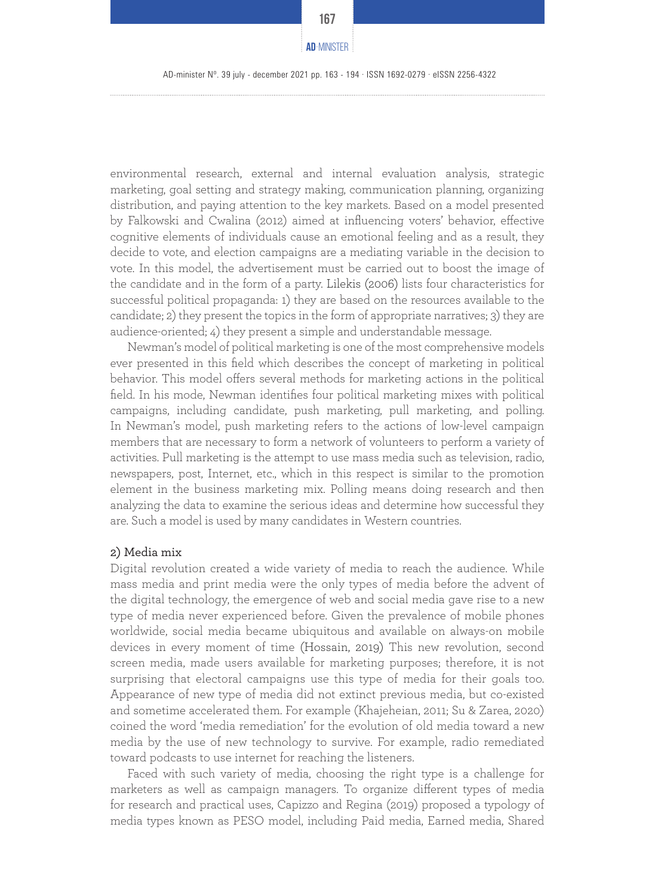AD-minister Nº. 39 july - december 2021 pp. 163 - 194 · ISSN 1692-0279 · eISSN 2256-4322

environmental research, external and internal evaluation analysis, strategic marketing, goal setting and strategy making, communication planning, organizing distribution, and paying attention to the key markets. Based on a model presented by Falkowski and Cwalina (2012) aimed at influencing voters' behavior, effective cognitive elements of individuals cause an emotional feeling and as a result, they decide to vote, and election campaigns are a mediating variable in the decision to vote. In this model, the advertisement must be carried out to boost the image of the candidate and in the form of a party. Lilekis (2006) lists four characteristics for successful political propaganda: 1) they are based on the resources available to the candidate; 2) they present the topics in the form of appropriate narratives; 3) they are audience-oriented; 4) they present a simple and understandable message.

Newman's model of political marketing is one of the most comprehensive models ever presented in this field which describes the concept of marketing in political behavior. This model offers several methods for marketing actions in the political field. In his mode, Newman identifies four political marketing mixes with political campaigns, including candidate, push marketing, pull marketing, and polling. In Newman's model, push marketing refers to the actions of low-level campaign members that are necessary to form a network of volunteers to perform a variety of activities. Pull marketing is the attempt to use mass media such as television, radio, newspapers, post, Internet, etc., which in this respect is similar to the promotion element in the business marketing mix. Polling means doing research and then analyzing the data to examine the serious ideas and determine how successful they are. Such a model is used by many candidates in Western countries.

#### 2) Media mix

Digital revolution created a wide variety of media to reach the audience. While mass media and print media were the only types of media before the advent of the digital technology, the emergence of web and social media gave rise to a new type of media never experienced before. Given the prevalence of mobile phones worldwide, social media became ubiquitous and available on always-on mobile devices in every moment of time (Hossain, 2019) This new revolution, second screen media, made users available for marketing purposes; therefore, it is not surprising that electoral campaigns use this type of media for their goals too. Appearance of new type of media did not extinct previous media, but co-existed and sometime accelerated them. For example (Khajeheian, 2011; Su & Zarea, 2020) coined the word 'media remediation' for the evolution of old media toward a new media by the use of new technology to survive. For example, radio remediated toward podcasts to use internet for reaching the listeners.

Faced with such variety of media, choosing the right type is a challenge for marketers as well as campaign managers. To organize different types of media for research and practical uses, Capizzo and Regina (2019) proposed a typology of media types known as PESO model, including Paid media, Earned media, Shared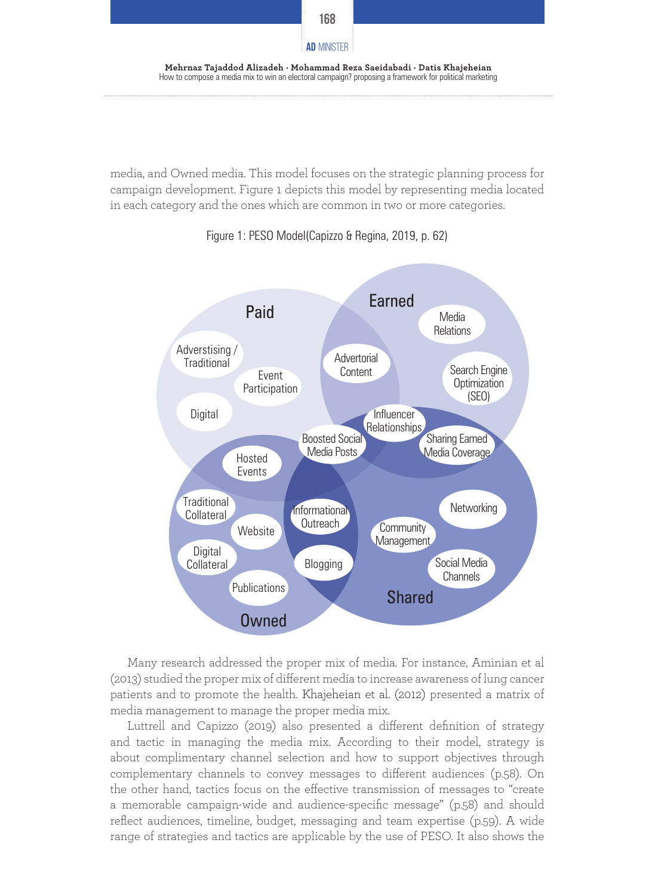

media, and Owned media. This model focuses on the strategic planning process for campaign development. Figure 1 depicts this model by representing media located in each category and the ones which are common in two or more categories.



Figure 1: PESO Model(Capizzo & Regina, 2019, p. 62)

Many research addressed the proper mix of media. For instance, Aminian et al (2013) studied the proper mix of different media to increase awareness of lung cancer patients and to promote the health. Khajeheian et al. (2012) presented a matrix of media management to manage the proper media mix.

Luttrell and Capizzo (2019) also presented a different definition of strategy and tactic in managing the media mix. According to their model, strategy is about complimentary channel selection and how to support objectives through complementary channels to convey messages to different audiences (p.58). On the other hand, tactics focus on the effective transmission of messages to "create a memorable campaign-wide and audience-specific message" (p.58) and should reflect audiences, timeline, budget, messaging and team expertise (p.59). A wide range of strategies and tactics are applicable by the use of PESO. It also shows the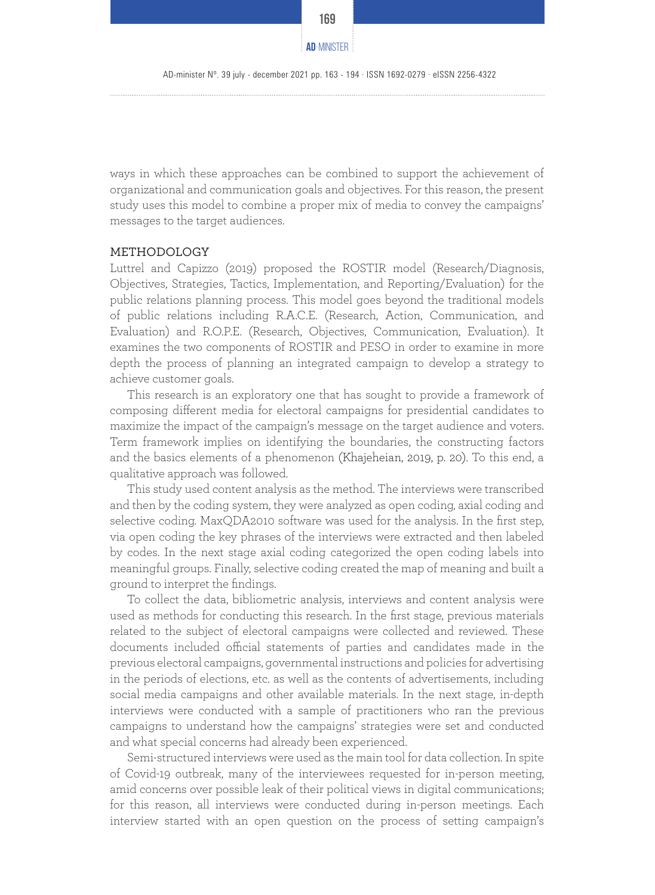

ways in which these approaches can be combined to support the achievement of organizational and communication goals and objectives. For this reason, the present study uses this model to combine a proper mix of media to convey the campaigns' messages to the target audiences.

#### METHODOLOGY

Luttrel and Capizzo (2019) proposed the ROSTIR model (Research/Diagnosis, Objectives, Strategies, Tactics, Implementation, and Reporting/Evaluation) for the public relations planning process. This model goes beyond the traditional models of public relations including R.A.C.E. (Research, Action, Communication, and Evaluation) and R.O.P.E. (Research, Objectives, Communication, Evaluation). It examines the two components of ROSTIR and PESO in order to examine in more depth the process of planning an integrated campaign to develop a strategy to achieve customer goals.

This research is an exploratory one that has sought to provide a framework of composing different media for electoral campaigns for presidential candidates to maximize the impact of the campaign's message on the target audience and voters. Term framework implies on identifying the boundaries, the constructing factors and the basics elements of a phenomenon (Khajeheian, 2019, p. 20). To this end, a qualitative approach was followed.

This study used content analysis as the method. The interviews were transcribed and then by the coding system, they were analyzed as open coding, axial coding and selective coding. MaxQDA2010 software was used for the analysis. In the first step, via open coding the key phrases of the interviews were extracted and then labeled by codes. In the next stage axial coding categorized the open coding labels into meaningful groups. Finally, selective coding created the map of meaning and built a ground to interpret the findings.

To collect the data, bibliometric analysis, interviews and content analysis were used as methods for conducting this research. In the first stage, previous materials related to the subject of electoral campaigns were collected and reviewed. These documents included official statements of parties and candidates made in the previous electoral campaigns, governmental instructions and policies for advertising in the periods of elections, etc. as well as the contents of advertisements, including social media campaigns and other available materials. In the next stage, in-depth interviews were conducted with a sample of practitioners who ran the previous campaigns to understand how the campaigns' strategies were set and conducted and what special concerns had already been experienced.

Semi-structured interviews were used as the main tool for data collection. In spite of Covid-19 outbreak, many of the interviewees requested for in-person meeting, amid concerns over possible leak of their political views in digital communications; for this reason, all interviews were conducted during in-person meetings. Each interview started with an open question on the process of setting campaign's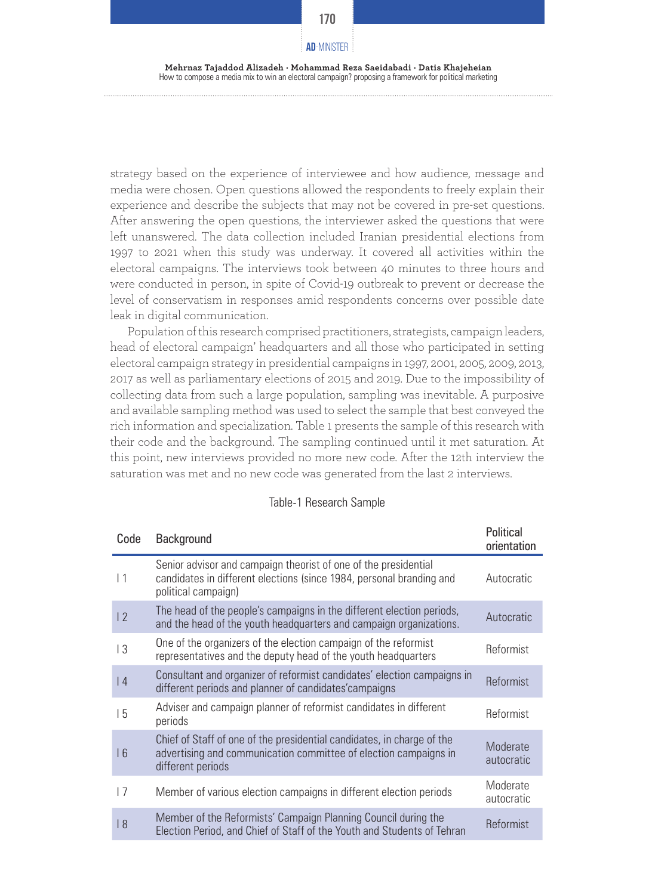**Mehrnaz Tajaddod Alizadeh · Mohammad Reza Saeidabadi · Datis Khajeheian** How to compose a media mix to win an electoral campaign? proposing a framework for political marketing

strategy based on the experience of interviewee and how audience, message and media were chosen. Open questions allowed the respondents to freely explain their experience and describe the subjects that may not be covered in pre-set questions. After answering the open questions, the interviewer asked the questions that were left unanswered. The data collection included Iranian presidential elections from 1997 to 2021 when this study was underway. It covered all activities within the electoral campaigns. The interviews took between 40 minutes to three hours and were conducted in person, in spite of Covid-19 outbreak to prevent or decrease the level of conservatism in responses amid respondents concerns over possible date leak in digital communication.

Population of this research comprised practitioners, strategists, campaign leaders, head of electoral campaign' headquarters and all those who participated in setting electoral campaign strategy in presidential campaigns in 1997, 2001, 2005, 2009, 2013, 2017 as well as parliamentary elections of 2015 and 2019. Due to the impossibility of collecting data from such a large population, sampling was inevitable. A purposive and available sampling method was used to select the sample that best conveyed the rich information and specialization. Table 1 presents the sample of this research with their code and the background. The sampling continued until it met saturation. At this point, new interviews provided no more new code. After the 12th interview the saturation was met and no new code was generated from the last 2 interviews.

| Code            | Background                                                                                                                                                      | Political<br>orientation |
|-----------------|-----------------------------------------------------------------------------------------------------------------------------------------------------------------|--------------------------|
| $\vert$ 1       | Senior advisor and campaign theorist of one of the presidential<br>candidates in different elections (since 1984, personal branding and<br>political campaign)  | Autocratic               |
| 12              | The head of the people's campaigns in the different election periods,<br>and the head of the youth headquarters and campaign organizations.                     | Autocratic               |
| $\overline{13}$ | One of the organizers of the election campaign of the reformist<br>representatives and the deputy head of the youth headquarters                                | Reformist                |
| 4               | Consultant and organizer of reformist candidates' election campaigns in<br>different periods and planner of candidates' campaigns                               | Reformist                |
| 15              | Adviser and campaign planner of reformist candidates in different<br>periods                                                                                    | Reformist                |
| 16              | Chief of Staff of one of the presidential candidates, in charge of the<br>advertising and communication committee of election campaigns in<br>different periods | Moderate<br>autocratic   |
| 17              | Member of various election campaigns in different election periods                                                                                              | Moderate<br>autocratic   |
| 8               | Member of the Reformists' Campaign Planning Council during the<br>Election Period, and Chief of Staff of the Youth and Students of Tehran                       | Reformist                |

#### Table-1 Research Sample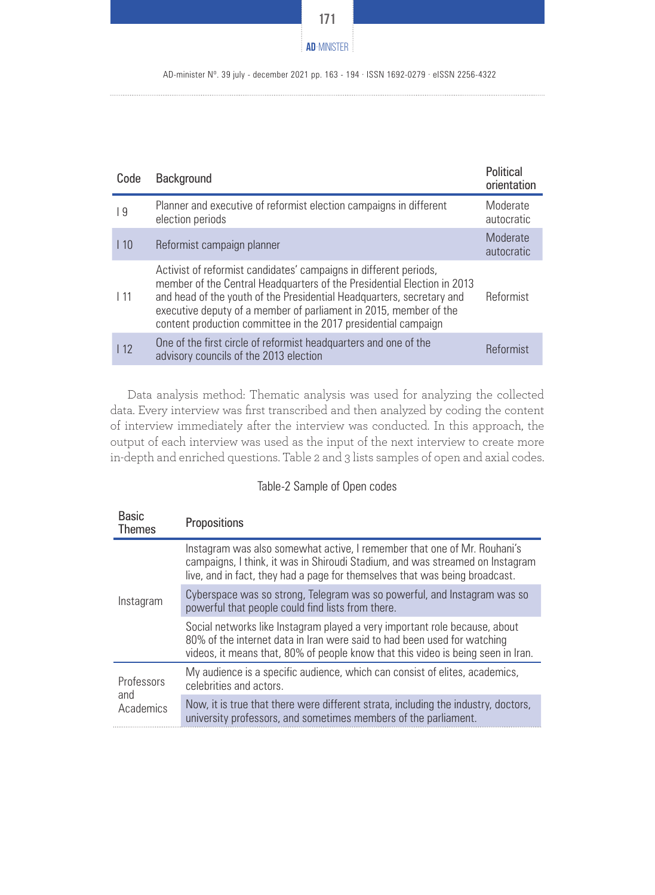

AD-minister Nº. 39 july - december 2021 pp. 163 - 194 · ISSN 1692-0279 · eISSN 2256-4322

| Code       | Background                                                                                                                                                                                                                                                                                                                                                   | Political<br>orientation |
|------------|--------------------------------------------------------------------------------------------------------------------------------------------------------------------------------------------------------------------------------------------------------------------------------------------------------------------------------------------------------------|--------------------------|
| 9          | Planner and executive of reformist election campaigns in different<br>election periods                                                                                                                                                                                                                                                                       | Moderate<br>autocratic   |
| 110        | Reformist campaign planner                                                                                                                                                                                                                                                                                                                                   | Moderate<br>autocratic   |
| $\vert$ 11 | Activist of reformist candidates' campaigns in different periods,<br>member of the Central Headquarters of the Presidential Election in 2013<br>and head of the youth of the Presidential Headquarters, secretary and<br>executive deputy of a member of parliament in 2015, member of the<br>content production committee in the 2017 presidential campaign | Reformist                |
| 112        | One of the first circle of reformist headquarters and one of the<br>advisory councils of the 2013 election                                                                                                                                                                                                                                                   | Reformist                |
|            |                                                                                                                                                                                                                                                                                                                                                              |                          |

Data analysis method: Thematic analysis was used for analyzing the collected data. Every interview was first transcribed and then analyzed by coding the content of interview immediately after the interview was conducted. In this approach, the output of each interview was used as the input of the next interview to create more in-depth and enriched questions. Table 2 and 3 lists samples of open and axial codes.

#### Table-2 Sample of Open codes

| <b>Basic</b><br><b>Themes</b>  | Propositions                                                                                                                                                                                                                               |
|--------------------------------|--------------------------------------------------------------------------------------------------------------------------------------------------------------------------------------------------------------------------------------------|
|                                | Instagram was also somewhat active, I remember that one of Mr. Rouhani's<br>campaigns, I think, it was in Shiroudi Stadium, and was streamed on Instagram<br>live, and in fact, they had a page for themselves that was being broadcast.   |
| Instagram                      | Cyberspace was so strong, Telegram was so powerful, and Instagram was so<br>powerful that people could find lists from there.                                                                                                              |
|                                | Social networks like Instagram played a very important role because, about<br>80% of the internet data in Iran were said to had been used for watching<br>videos, it means that, 80% of people know that this video is being seen in Iran. |
| Professors<br>and<br>Academics | My audience is a specific audience, which can consist of elites, academics,<br>celebrities and actors.                                                                                                                                     |
|                                | Now, it is true that there were different strata, including the industry, doctors,<br>university professors, and sometimes members of the parliament.                                                                                      |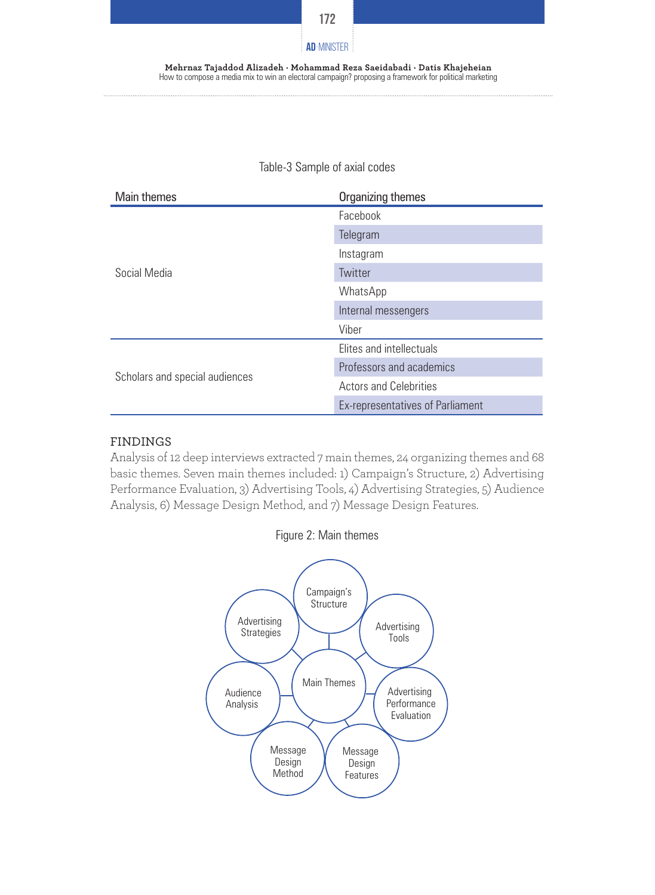

#### **Mehrnaz Tajaddod Alizadeh · Mohammad Reza Saeidabadi · Datis Khajeheian** How to compose a media mix to win an electoral campaign? proposing a framework for political marketing

| <b>Main themes</b>             | Organizing themes                |
|--------------------------------|----------------------------------|
|                                | Facebook                         |
|                                | Telegram                         |
|                                | Instagram                        |
| Social Media                   | Twitter                          |
|                                | WhatsApp                         |
|                                | Internal messengers              |
|                                | Viber                            |
|                                | Elites and intellectuals         |
|                                | Professors and academics         |
| Scholars and special audiences | <b>Actors and Celebrities</b>    |
|                                | Ex-representatives of Parliament |

# Table-3 Sample of axial codes

#### FINDINGS

Analysis of 12 deep interviews extracted 7 main themes, 24 organizing themes and 68 basic themes. Seven main themes included: 1) Campaign's Structure, 2) Advertising Performance Evaluation, 3) Advertising Tools, 4) Advertising Strategies, 5) Audience Analysis, 6) Message Design Method, and 7) Message Design Features.



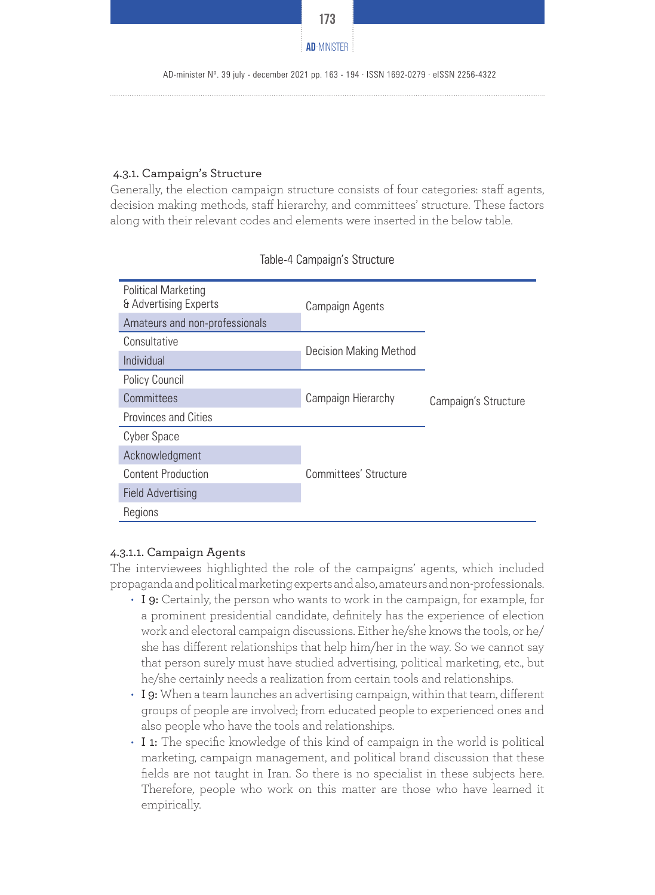

#### 4.3.1. Campaign's Structure

Generally, the election campaign structure consists of four categories: staff agents, decision making methods, staff hierarchy, and committees' structure. These factors along with their relevant codes and elements were inserted in the below table.

| <b>Political Marketing</b><br>& Advertising Experts | Campaign Agents               |                      |
|-----------------------------------------------------|-------------------------------|----------------------|
| Amateurs and non-professionals                      |                               |                      |
| Consultative                                        |                               |                      |
| Individual                                          | <b>Decision Making Method</b> |                      |
| Policy Council                                      |                               |                      |
| Committees                                          | Campaign Hierarchy            | Campaign's Structure |
| <b>Provinces and Cities</b>                         |                               |                      |
| Cyber Space                                         |                               |                      |
| Acknowledgment                                      |                               |                      |
| <b>Content Production</b>                           | Committees' Structure         |                      |
| <b>Field Advertising</b>                            |                               |                      |
| Regions                                             |                               |                      |

#### Table-4 Campaign's Structure

# 4.3.1.1. Campaign Agents

The interviewees highlighted the role of the campaigns' agents, which included propaganda and political marketing experts and also, amateurs and non-professionals.

- I 9: Certainly, the person who wants to work in the campaign, for example, for a prominent presidential candidate, definitely has the experience of election work and electoral campaign discussions. Either he/she knows the tools, or he/ she has different relationships that help him/her in the way. So we cannot say that person surely must have studied advertising, political marketing, etc., but he/she certainly needs a realization from certain tools and relationships.
- $\cdot$  I 9: When a team launches an advertising campaign, within that team, different groups of people are involved; from educated people to experienced ones and also people who have the tools and relationships.
- I 1: The specific knowledge of this kind of campaign in the world is political marketing, campaign management, and political brand discussion that these fields are not taught in Iran. So there is no specialist in these subjects here. Therefore, people who work on this matter are those who have learned it empirically.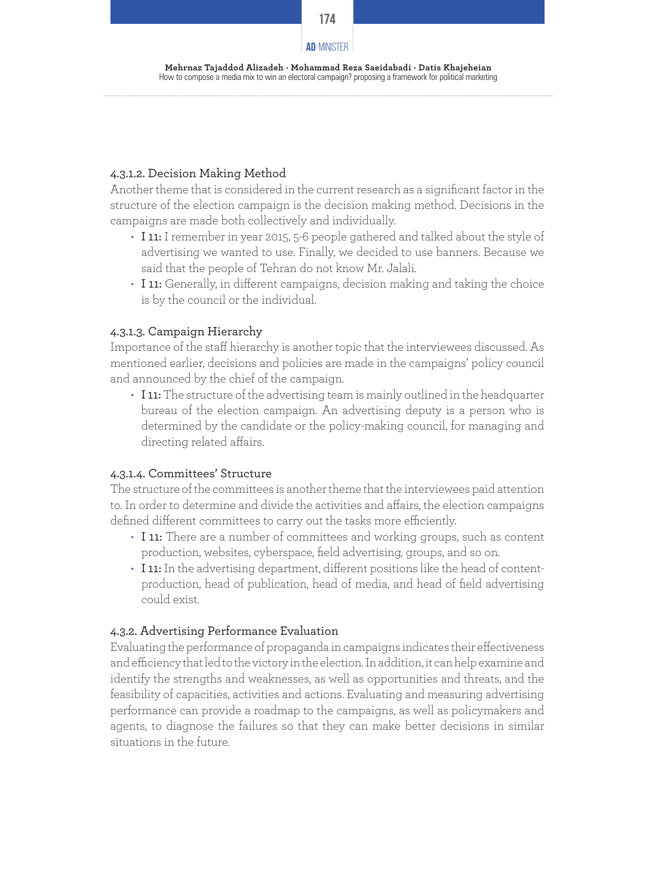

# 4.3.1.2. Decision Making Method

Another theme that is considered in the current research as a significant factor in the structure of the election campaign is the decision making method. Decisions in the campaigns are made both collectively and individually.

- I 11: I remember in year 2015, 5-6 people gathered and talked about the style of advertising we wanted to use. Finally, we decided to use banners. Because we said that the people of Tehran do not know Mr. Jalali.
- I 11: Generally, in different campaigns, decision making and taking the choice is by the council or the individual.

# 4.3.1.3. Campaign Hierarchy

Importance of the staff hierarchy is another topic that the interviewees discussed. As mentioned earlier, decisions and policies are made in the campaigns' policy council and announced by the chief of the campaign.

• I 11: The structure of the advertising team is mainly outlined in the headquarter bureau of the election campaign. An advertising deputy is a person who is determined by the candidate or the policy-making council, for managing and directing related affairs.

# 4.3.1.4. Committees' Structure

The structure of the committees is another theme that the interviewees paid attention to. In order to determine and divide the activities and affairs, the election campaigns defined different committees to carry out the tasks more efficiently.

- I 11: There are a number of committees and working groups, such as content production, websites, cyberspace, field advertising, groups, and so on.
- I 11: In the advertising department, different positions like the head of contentproduction, head of publication, head of media, and head of field advertising could exist.

# 4.3.2. Advertising Performance Evaluation

Evaluating the performance of propaganda in campaigns indicates their effectiveness and efficiency that led to the victory in the election. In addition, it can help examine and identify the strengths and weaknesses, as well as opportunities and threats, and the feasibility of capacities, activities and actions. Evaluating and measuring advertising performance can provide a roadmap to the campaigns, as well as policymakers and agents, to diagnose the failures so that they can make better decisions in similar situations in the future.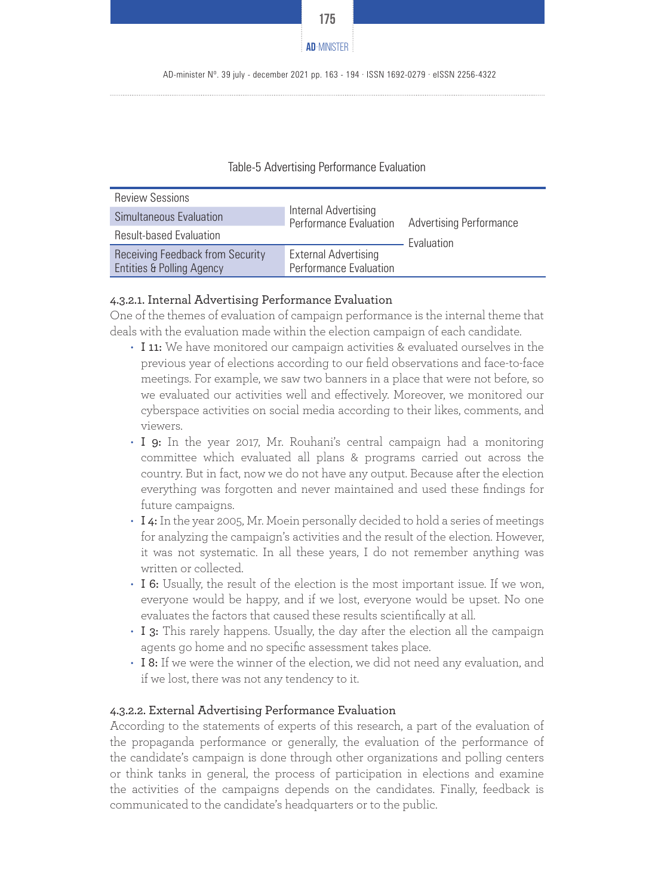

#### Table-5 Advertising Performance Evaluation

| <b>Review Sessions</b>                                                   | Internal Advertising<br>Performance Evaluation        |                                                     |
|--------------------------------------------------------------------------|-------------------------------------------------------|-----------------------------------------------------|
| Simultaneous Evaluation                                                  |                                                       | <b>Advertising Performance</b><br><b>Evaluation</b> |
| <b>Result-based Evaluation</b>                                           |                                                       |                                                     |
| Receiving Feedback from Security<br><b>Entities &amp; Polling Agency</b> | <b>External Advertising</b><br>Performance Evaluation |                                                     |

#### 4.3.2.1. Internal Advertising Performance Evaluation

One of the themes of evaluation of campaign performance is the internal theme that deals with the evaluation made within the election campaign of each candidate.

- I 11: We have monitored our campaign activities & evaluated ourselves in the previous year of elections according to our field observations and face-to-face meetings. For example, we saw two banners in a place that were not before, so we evaluated our activities well and effectively. Moreover, we monitored our cyberspace activities on social media according to their likes, comments, and viewers.
- I 9: In the year 2017, Mr. Rouhani's central campaign had a monitoring committee which evaluated all plans & programs carried out across the country. But in fact, now we do not have any output. Because after the election everything was forgotten and never maintained and used these findings for future campaigns.
- I 4: In the year 2005, Mr. Moein personally decided to hold a series of meetings for analyzing the campaign's activities and the result of the election. However, it was not systematic. In all these years, I do not remember anything was written or collected.
- I 6: Usually, the result of the election is the most important issue. If we won, everyone would be happy, and if we lost, everyone would be upset. No one evaluates the factors that caused these results scientifically at all.
- I 3: This rarely happens. Usually, the day after the election all the campaign agents go home and no specific assessment takes place.
- I 8: If we were the winner of the election, we did not need any evaluation, and if we lost, there was not any tendency to it.

#### 4.3.2.2. External Advertising Performance Evaluation

According to the statements of experts of this research, a part of the evaluation of the propaganda performance or generally, the evaluation of the performance of the candidate's campaign is done through other organizations and polling centers or think tanks in general, the process of participation in elections and examine the activities of the campaigns depends on the candidates. Finally, feedback is communicated to the candidate's headquarters or to the public.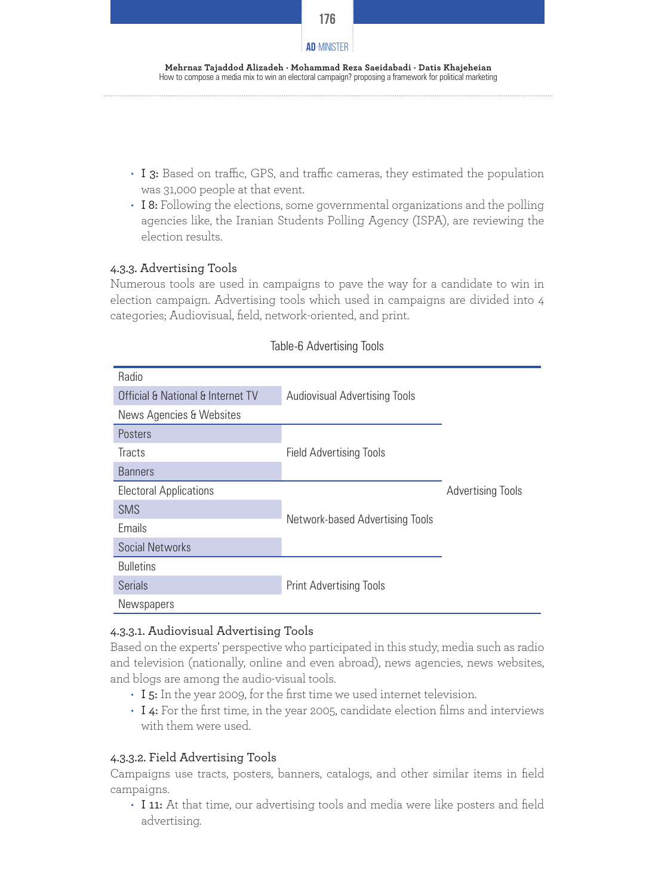

- I 3: Based on traffic, GPS, and traffic cameras, they estimated the population was 31,000 people at that event.
- I 8: Following the elections, some governmental organizations and the polling agencies like, the Iranian Students Polling Agency (ISPA), are reviewing the election results.

# 4.3.3. Advertising Tools

Numerous tools are used in campaigns to pave the way for a candidate to win in election campaign. Advertising tools which used in campaigns are divided into 4 categories; Audiovisual, field, network-oriented, and print.

| Radio                             |                                      |                          |
|-----------------------------------|--------------------------------------|--------------------------|
| Official & National & Internet TV | <b>Audiovisual Advertising Tools</b> |                          |
| News Agencies & Websites          |                                      |                          |
| Posters                           |                                      |                          |
| <b>Tracts</b>                     | <b>Field Advertising Tools</b>       |                          |
| <b>Banners</b>                    |                                      |                          |
| <b>Electoral Applications</b>     |                                      | <b>Advertising Tools</b> |
| <b>SMS</b>                        |                                      |                          |
| Emails                            | Network-based Advertising Tools      |                          |
| Social Networks                   |                                      |                          |
| <b>Bulletins</b>                  |                                      |                          |
| <b>Serials</b>                    | <b>Print Advertising Tools</b>       |                          |
| <b>Newspapers</b>                 |                                      |                          |

# Table-6 Advertising Tools

# 4.3.3.1. Audiovisual Advertising Tools

Based on the experts' perspective who participated in this study, media such as radio and television (nationally, online and even abroad), news agencies, news websites, and blogs are among the audio-visual tools.

- I 5: In the year 2009, for the first time we used internet television.
- I 4: For the first time, in the year 2005, candidate election films and interviews with them were used.

# 4.3.3.2. Field Advertising Tools

Campaigns use tracts, posters, banners, catalogs, and other similar items in field campaigns.

• I 11: At that time, our advertising tools and media were like posters and field advertising.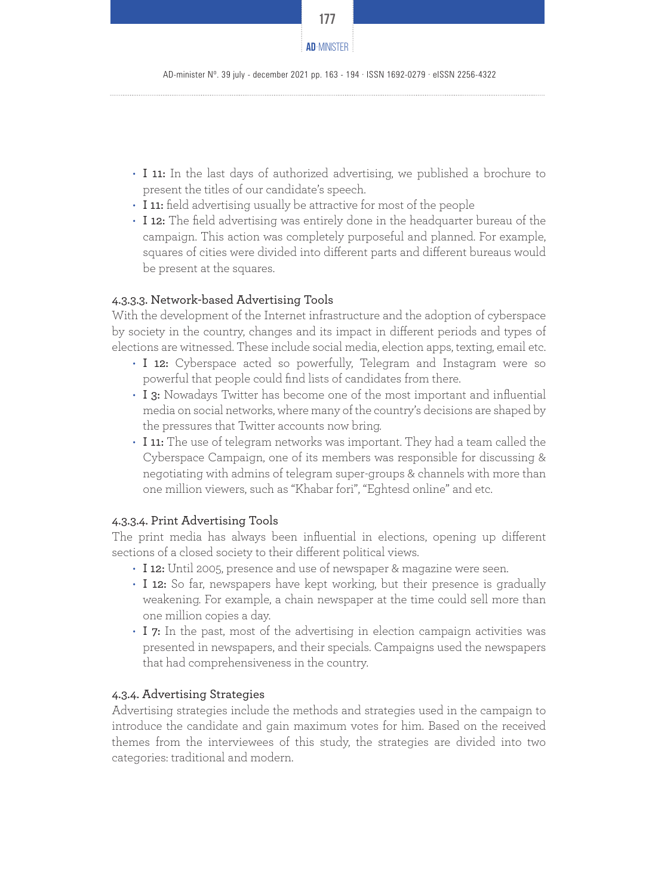

- I 11: In the last days of authorized advertising, we published a brochure to present the titles of our candidate's speech.
- I 11: field advertising usually be attractive for most of the people
- I 12: The field advertising was entirely done in the headquarter bureau of the campaign. This action was completely purposeful and planned. For example, squares of cities were divided into different parts and different bureaus would be present at the squares.

# 4.3.3.3. Network-based Advertising Tools

With the development of the Internet infrastructure and the adoption of cyberspace by society in the country, changes and its impact in different periods and types of elections are witnessed. These include social media, election apps, texting, email etc.

- I 12: Cyberspace acted so powerfully, Telegram and Instagram were so powerful that people could find lists of candidates from there.
- I 3: Nowadays Twitter has become one of the most important and influential media on social networks, where many of the country's decisions are shaped by the pressures that Twitter accounts now bring.
- I 11: The use of telegram networks was important. They had a team called the Cyberspace Campaign, one of its members was responsible for discussing & negotiating with admins of telegram super-groups & channels with more than one million viewers, such as "Khabar fori", "Eghtesd online" and etc.

# 4.3.3.4. Print Advertising Tools

The print media has always been influential in elections, opening up different sections of a closed society to their different political views.

- I 12: Until 2005, presence and use of newspaper & magazine were seen.
- I 12: So far, newspapers have kept working, but their presence is gradually weakening. For example, a chain newspaper at the time could sell more than one million copies a day.
- I 7: In the past, most of the advertising in election campaign activities was presented in newspapers, and their specials. Campaigns used the newspapers that had comprehensiveness in the country.

# 4.3.4. Advertising Strategies

Advertising strategies include the methods and strategies used in the campaign to introduce the candidate and gain maximum votes for him. Based on the received themes from the interviewees of this study, the strategies are divided into two categories: traditional and modern.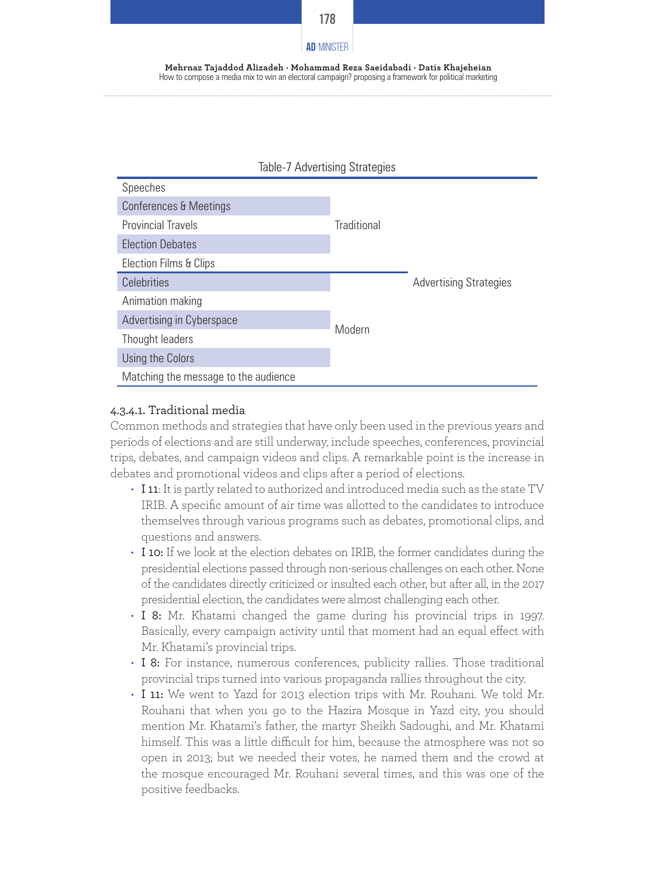



# 4.3.4.1. Traditional media

Common methods and strategies that have only been used in the previous years and periods of elections and are still underway, include speeches, conferences, provincial trips, debates, and campaign videos and clips. A remarkable point is the increase in debates and promotional videos and clips after a period of elections.

- I 11: It is partly related to authorized and introduced media such as the state TV IRIB. A specific amount of air time was allotted to the candidates to introduce themselves through various programs such as debates, promotional clips, and questions and answers.
- I 10: If we look at the election debates on IRIB, the former candidates during the presidential elections passed through non-serious challenges on each other. None of the candidates directly criticized or insulted each other, but after all, in the 2017 presidential election, the candidates were almost challenging each other.
- I 8: Mr. Khatami changed the game during his provincial trips in 1997. Basically, every campaign activity until that moment had an equal effect with Mr. Khatami's provincial trips.
- I 8: For instance, numerous conferences, publicity rallies. Those traditional provincial trips turned into various propaganda rallies throughout the city.
- I 11: We went to Yazd for 2013 election trips with Mr. Rouhani. We told Mr. Rouhani that when you go to the Hazira Mosque in Yazd city, you should mention Mr. Khatami's father, the martyr Sheikh Sadoughi, and Mr. Khatami himself. This was a little difficult for him, because the atmosphere was not so open in 2013; but we needed their votes, he named them and the crowd at the mosque encouraged Mr. Rouhani several times, and this was one of the positive feedbacks.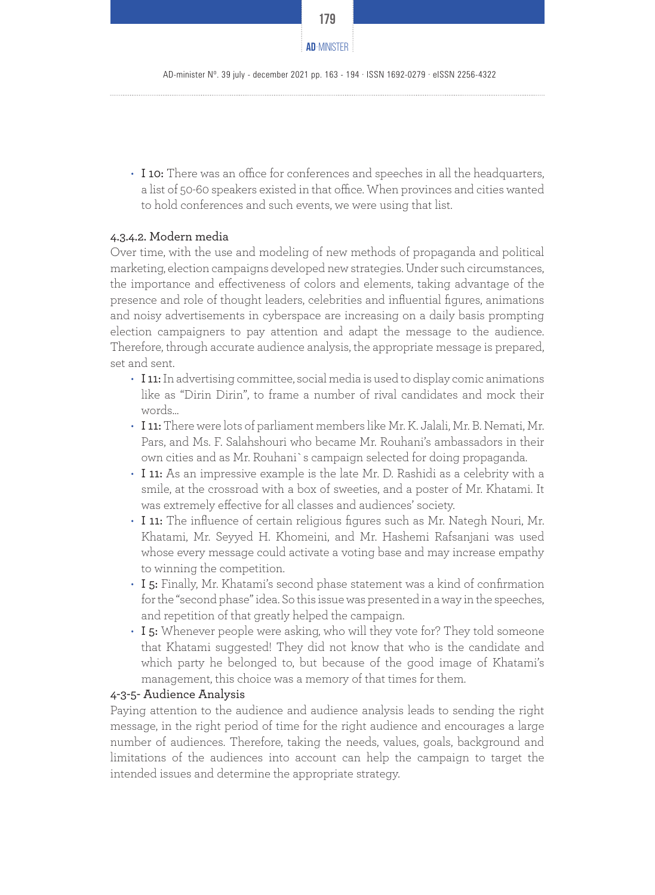

• I 10: There was an office for conferences and speeches in all the headquarters, a list of 50-60 speakers existed in that office. When provinces and cities wanted to hold conferences and such events, we were using that list.

#### 4.3.4.2. Modern media

Over time, with the use and modeling of new methods of propaganda and political marketing, election campaigns developed new strategies. Under such circumstances, the importance and effectiveness of colors and elements, taking advantage of the presence and role of thought leaders, celebrities and influential figures, animations and noisy advertisements in cyberspace are increasing on a daily basis prompting election campaigners to pay attention and adapt the message to the audience. Therefore, through accurate audience analysis, the appropriate message is prepared, set and sent.

- I 11: In advertising committee, social media is used to display comic animations like as "Dirin Dirin", to frame a number of rival candidates and mock their words…
- I 11: There were lots of parliament members like Mr. K. Jalali, Mr. B. Nemati, Mr. Pars, and Ms. F. Salahshouri who became Mr. Rouhani's ambassadors in their own cities and as Mr. Rouhani`s campaign selected for doing propaganda.
- I 11: As an impressive example is the late Mr. D. Rashidi as a celebrity with a smile, at the crossroad with a box of sweeties, and a poster of Mr. Khatami. It was extremely effective for all classes and audiences' society.
- I 11: The influence of certain religious figures such as Mr. Nategh Nouri, Mr. Khatami, Mr. Seyyed H. Khomeini, and Mr. Hashemi Rafsanjani was used whose every message could activate a voting base and may increase empathy to winning the competition.
- I 5: Finally, Mr. Khatami's second phase statement was a kind of confirmation for the "second phase" idea. So this issue was presented in a way in the speeches, and repetition of that greatly helped the campaign.
- I 5: Whenever people were asking, who will they vote for? They told someone that Khatami suggested! They did not know that who is the candidate and which party he belonged to, but because of the good image of Khatami's management, this choice was a memory of that times for them.

#### 4-3-5- Audience Analysis

Paying attention to the audience and audience analysis leads to sending the right message, in the right period of time for the right audience and encourages a large number of audiences. Therefore, taking the needs, values, goals, background and limitations of the audiences into account can help the campaign to target the intended issues and determine the appropriate strategy.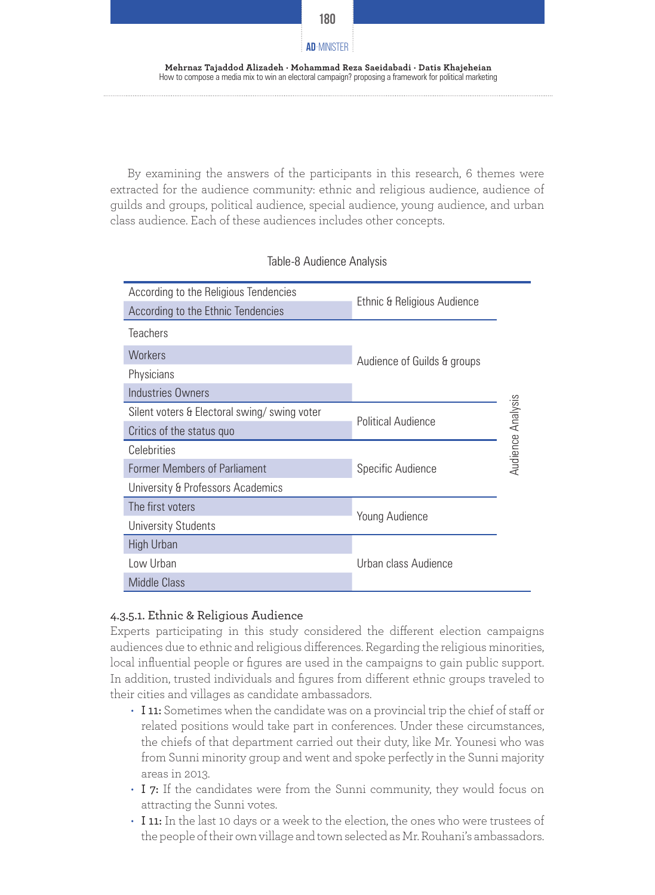

By examining the answers of the participants in this research, 6 themes were extracted for the audience community: ethnic and religious audience, audience of guilds and groups, political audience, special audience, young audience, and urban class audience. Each of these audiences includes other concepts.

| According to the Religious Tendencies       | Ethnic & Religious Audience            |  |
|---------------------------------------------|----------------------------------------|--|
| According to the Ethnic Tendencies          |                                        |  |
| <b>Teachers</b>                             |                                        |  |
| <b>Workers</b>                              | Audience of Guilds & groups            |  |
| Physicians                                  |                                        |  |
| <b>Industries Owners</b>                    |                                        |  |
| Silent voters & Electoral swing/swing voter | <b>Political Audience</b>              |  |
| Critics of the status quo                   |                                        |  |
| Celebrities                                 | Audience Analysis<br>Specific Audience |  |
| <b>Former Members of Parliament</b>         |                                        |  |
| University & Professors Academics           |                                        |  |
| The first voters                            | Young Audience                         |  |
| <b>University Students</b>                  |                                        |  |
| High Urban                                  |                                        |  |
| Low Urban                                   | Urban class Audience                   |  |
| Middle Class                                |                                        |  |

#### Table-8 Audience Analysis

# 4.3.5.1. Ethnic & Religious Audience

Experts participating in this study considered the different election campaigns audiences due to ethnic and religious differences. Regarding the religious minorities, local influential people or figures are used in the campaigns to gain public support. In addition, trusted individuals and figures from different ethnic groups traveled to their cities and villages as candidate ambassadors.

- I 11: Sometimes when the candidate was on a provincial trip the chief of staff or related positions would take part in conferences. Under these circumstances, the chiefs of that department carried out their duty, like Mr. Younesi who was from Sunni minority group and went and spoke perfectly in the Sunni majority areas in 2013.
- I 7: If the candidates were from the Sunni community, they would focus on attracting the Sunni votes.
- I 11: In the last 10 days or a week to the election, the ones who were trustees of the people of their own village and town selected as Mr. Rouhani's ambassadors.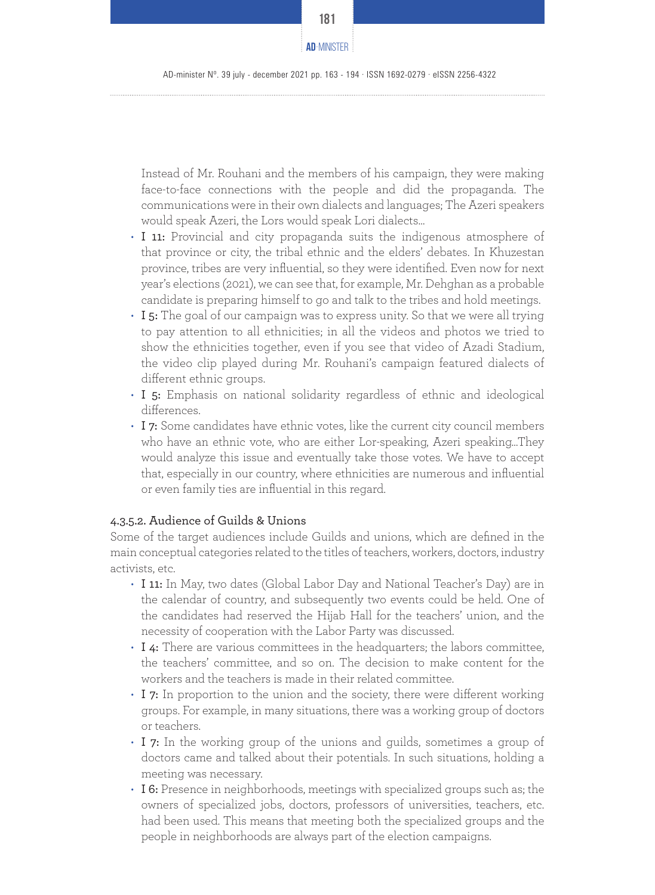

Instead of Mr. Rouhani and the members of his campaign, they were making face-to-face connections with the people and did the propaganda. The communications were in their own dialects and languages; The Azeri speakers would speak Azeri, the Lors would speak Lori dialects…

- I 11: Provincial and city propaganda suits the indigenous atmosphere of that province or city, the tribal ethnic and the elders' debates. In Khuzestan province, tribes are very influential, so they were identified. Even now for next year's elections (2021), we can see that, for example, Mr. Dehghan as a probable candidate is preparing himself to go and talk to the tribes and hold meetings.
- $\cdot$  I 5: The goal of our campaign was to express unity. So that we were all trying to pay attention to all ethnicities; in all the videos and photos we tried to show the ethnicities together, even if you see that video of Azadi Stadium, the video clip played during Mr. Rouhani's campaign featured dialects of different ethnic groups.
- I 5: Emphasis on national solidarity regardless of ethnic and ideological differences.
- I 7: Some candidates have ethnic votes, like the current city council members who have an ethnic vote, who are either Lor-speaking, Azeri speaking…They would analyze this issue and eventually take those votes. We have to accept that, especially in our country, where ethnicities are numerous and influential or even family ties are influential in this regard.

# 4.3.5.2. Audience of Guilds & Unions

Some of the target audiences include Guilds and unions, which are defined in the main conceptual categories related to the titles of teachers, workers, doctors, industry activists, etc.

- I 11: In May, two dates (Global Labor Day and National Teacher's Day) are in the calendar of country, and subsequently two events could be held. One of the candidates had reserved the Hijab Hall for the teachers' union, and the necessity of cooperation with the Labor Party was discussed.
- I 4: There are various committees in the headquarters; the labors committee, the teachers' committee, and so on. The decision to make content for the workers and the teachers is made in their related committee.
- I 7: In proportion to the union and the society, there were different working groups. For example, in many situations, there was a working group of doctors or teachers.
- I 7: In the working group of the unions and guilds, sometimes a group of doctors came and talked about their potentials. In such situations, holding a meeting was necessary.
- I 6: Presence in neighborhoods, meetings with specialized groups such as; the owners of specialized jobs, doctors, professors of universities, teachers, etc. had been used. This means that meeting both the specialized groups and the people in neighborhoods are always part of the election campaigns.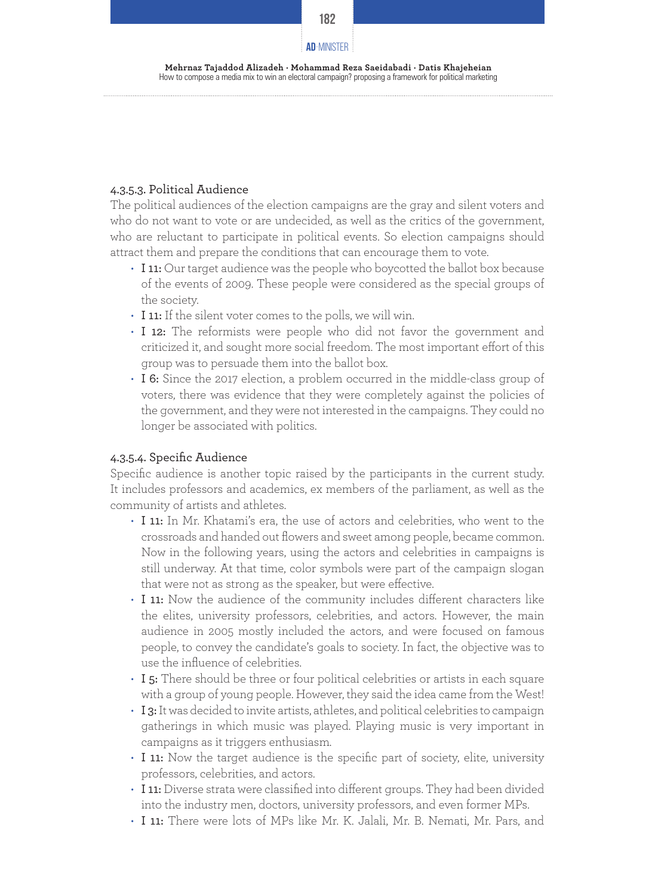

#### **Mehrnaz Tajaddod Alizadeh · Mohammad Reza Saeidabadi · Datis Khajeheian** How to compose a media mix to win an electoral campaign? proposing a framework for political marketing

# 4.3.5.3. Political Audience

The political audiences of the election campaigns are the gray and silent voters and who do not want to vote or are undecided, as well as the critics of the government, who are reluctant to participate in political events. So election campaigns should attract them and prepare the conditions that can encourage them to vote.

- I 11: Our target audience was the people who boycotted the ballot box because of the events of 2009. These people were considered as the special groups of the society.
- I 11: If the silent voter comes to the polls, we will win.
- I 12: The reformists were people who did not favor the government and criticized it, and sought more social freedom. The most important effort of this group was to persuade them into the ballot box.
- I 6: Since the 2017 election, a problem occurred in the middle-class group of voters, there was evidence that they were completely against the policies of the government, and they were not interested in the campaigns. They could no longer be associated with politics.

#### 4.3.5.4. Specific Audience

Specific audience is another topic raised by the participants in the current study. It includes professors and academics, ex members of the parliament, as well as the community of artists and athletes.

- I 11: In Mr. Khatami's era, the use of actors and celebrities, who went to the crossroads and handed out flowers and sweet among people, became common. Now in the following years, using the actors and celebrities in campaigns is still underway. At that time, color symbols were part of the campaign slogan that were not as strong as the speaker, but were effective.
- I 11: Now the audience of the community includes different characters like the elites, university professors, celebrities, and actors. However, the main audience in 2005 mostly included the actors, and were focused on famous people, to convey the candidate's goals to society. In fact, the objective was to use the influence of celebrities.
- I 5: There should be three or four political celebrities or artists in each square with a group of young people. However, they said the idea came from the West!
- $\cdot$  I 3: It was decided to invite artists, athletes, and political celebrities to campaign gatherings in which music was played. Playing music is very important in campaigns as it triggers enthusiasm.
- I 11: Now the target audience is the specific part of society, elite, university professors, celebrities, and actors.
- I 11: Diverse strata were classified into different groups. They had been divided into the industry men, doctors, university professors, and even former MPs.
- I 11: There were lots of MPs like Mr. K. Jalali, Mr. B. Nemati, Mr. Pars, and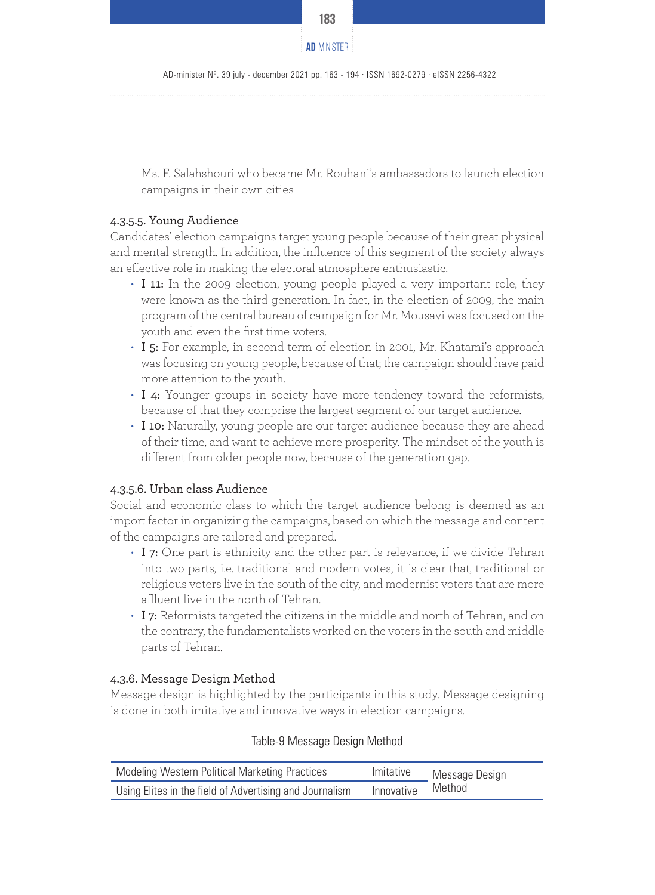

AD-minister Nº. 39 july - december 2021 pp. 163 - 194 · ISSN 1692-0279 · eISSN 2256-4322

Ms. F. Salahshouri who became Mr. Rouhani's ambassadors to launch election campaigns in their own cities

# 4.3.5.5. Young Audience

Candidates' election campaigns target young people because of their great physical and mental strength. In addition, the influence of this segment of the society always an effective role in making the electoral atmosphere enthusiastic.

- I 11: In the 2009 election, young people played a very important role, they were known as the third generation. In fact, in the election of 2009, the main program of the central bureau of campaign for Mr. Mousavi was focused on the youth and even the first time voters.
- I 5: For example, in second term of election in 2001, Mr. Khatami's approach was focusing on young people, because of that; the campaign should have paid more attention to the youth.
- I 4: Younger groups in society have more tendency toward the reformists, because of that they comprise the largest segment of our target audience.
- I 10: Naturally, young people are our target audience because they are ahead of their time, and want to achieve more prosperity. The mindset of the youth is different from older people now, because of the generation gap.

# 4.3.5.6. Urban class Audience

Social and economic class to which the target audience belong is deemed as an import factor in organizing the campaigns, based on which the message and content of the campaigns are tailored and prepared.

- I 7: One part is ethnicity and the other part is relevance, if we divide Tehran into two parts, i.e. traditional and modern votes, it is clear that, traditional or religious voters live in the south of the city, and modernist voters that are more affluent live in the north of Tehran.
- I 7: Reformists targeted the citizens in the middle and north of Tehran, and on the contrary, the fundamentalists worked on the voters in the south and middle parts of Tehran.

# 4.3.6. Message Design Method

Message design is highlighted by the participants in this study. Message designing is done in both imitative and innovative ways in election campaigns.

| <b>Modeling Western Political Marketing Practices</b>   | Imitative  | Message Design |
|---------------------------------------------------------|------------|----------------|
| Using Elites in the field of Advertising and Journalism | Innovative | Method         |

# Table-9 Message Design Method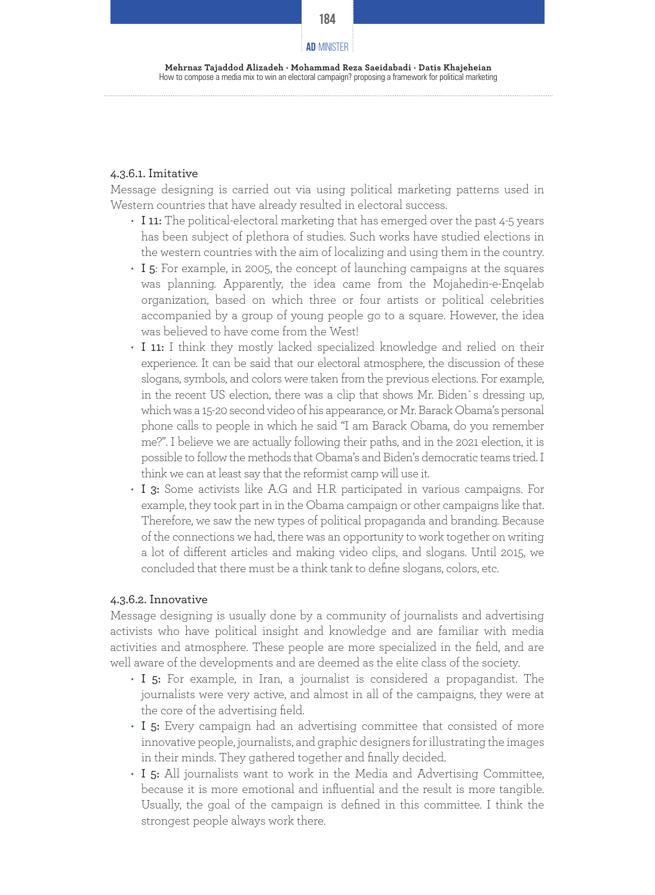

**Mehrnaz Tajaddod Alizadeh · Mohammad Reza Saeidabadi · Datis Khajeheian** How to compose a media mix to win an electoral campaign? proposing a framework for political marketing

#### 4.3.6.1. Imitative

Message designing is carried out via using political marketing patterns used in Western countries that have already resulted in electoral success.

- I 11: The political-electoral marketing that has emerged over the past 4-5 years has been subject of plethora of studies. Such works have studied elections in the western countries with the aim of localizing and using them in the country.
- I 5: For example, in 2005, the concept of launching campaigns at the squares was planning. Apparently, the idea came from the Mojahedin-e-Enqelab organization, based on which three or four artists or political celebrities accompanied by a group of young people go to a square. However, the idea was believed to have come from the West!
- I 11: I think they mostly lacked specialized knowledge and relied on their experience. It can be said that our electoral atmosphere, the discussion of these slogans, symbols, and colors were taken from the previous elections. For example, in the recent US election, there was a clip that shows Mr. Biden`s dressing up, which was a 15-20 second video of his appearance, or Mr. Barack Obama's personal phone calls to people in which he said "I am Barack Obama, do you remember me?". I believe we are actually following their paths, and in the 2021 election, it is possible to follow the methods that Obama's and Biden's democratic teams tried. I think we can at least say that the reformist camp will use it.
- I 3: Some activists like A.G and H.R participated in various campaigns. For example, they took part in in the Obama campaign or other campaigns like that. Therefore, we saw the new types of political propaganda and branding. Because of the connections we had, there was an opportunity to work together on writing a lot of different articles and making video clips, and slogans. Until 2015, we concluded that there must be a think tank to define slogans, colors, etc.

# 4.3.6.2. Innovative

Message designing is usually done by a community of journalists and advertising activists who have political insight and knowledge and are familiar with media activities and atmosphere. These people are more specialized in the field, and are well aware of the developments and are deemed as the elite class of the society.

- I 5: For example, in Iran, a journalist is considered a propagandist. The journalists were very active, and almost in all of the campaigns, they were at the core of the advertising field.
- I 5: Every campaign had an advertising committee that consisted of more innovative people, journalists, and graphic designers for illustrating the images in their minds. They gathered together and finally decided.
- I 5: All journalists want to work in the Media and Advertising Committee, because it is more emotional and influential and the result is more tangible. Usually, the goal of the campaign is defined in this committee. I think the strongest people always work there.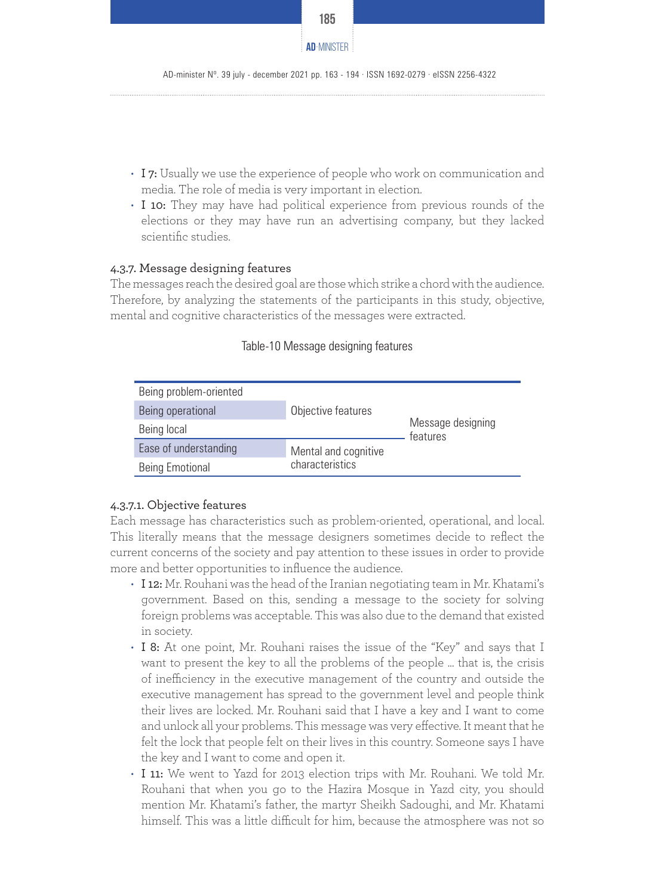

- I 7: Usually we use the experience of people who work on communication and media. The role of media is very important in election.
- I 10: They may have had political experience from previous rounds of the elections or they may have run an advertising company, but they lacked scientific studies.

#### 4.3.7. Message designing features

The messages reach the desired goal are those which strike a chord with the audience. Therefore, by analyzing the statements of the participants in this study, objective, mental and cognitive characteristics of the messages were extracted.

| Being problem-oriented |                      |                               |
|------------------------|----------------------|-------------------------------|
| Being operational      | Objective features   |                               |
| Being local            |                      | Message designing<br>features |
| Ease of understanding  | Mental and cognitive |                               |
| <b>Being Emotional</b> | characteristics      |                               |

#### Table-10 Message designing features

# 4.3.7.1. Objective features

Each message has characteristics such as problem-oriented, operational, and local. This literally means that the message designers sometimes decide to reflect the current concerns of the society and pay attention to these issues in order to provide more and better opportunities to influence the audience.

- I 12: Mr. Rouhani was the head of the Iranian negotiating team in Mr. Khatami's government. Based on this, sending a message to the society for solving foreign problems was acceptable. This was also due to the demand that existed in society.
- I 8: At one point, Mr. Rouhani raises the issue of the "Key" and says that I want to present the key to all the problems of the people ... that is, the crisis of inefficiency in the executive management of the country and outside the executive management has spread to the government level and people think their lives are locked. Mr. Rouhani said that I have a key and I want to come and unlock all your problems. This message was very effective. It meant that he felt the lock that people felt on their lives in this country. Someone says I have the key and I want to come and open it.
- I 11: We went to Yazd for 2013 election trips with Mr. Rouhani. We told Mr. Rouhani that when you go to the Hazira Mosque in Yazd city, you should mention Mr. Khatami's father, the martyr Sheikh Sadoughi, and Mr. Khatami himself. This was a little difficult for him, because the atmosphere was not so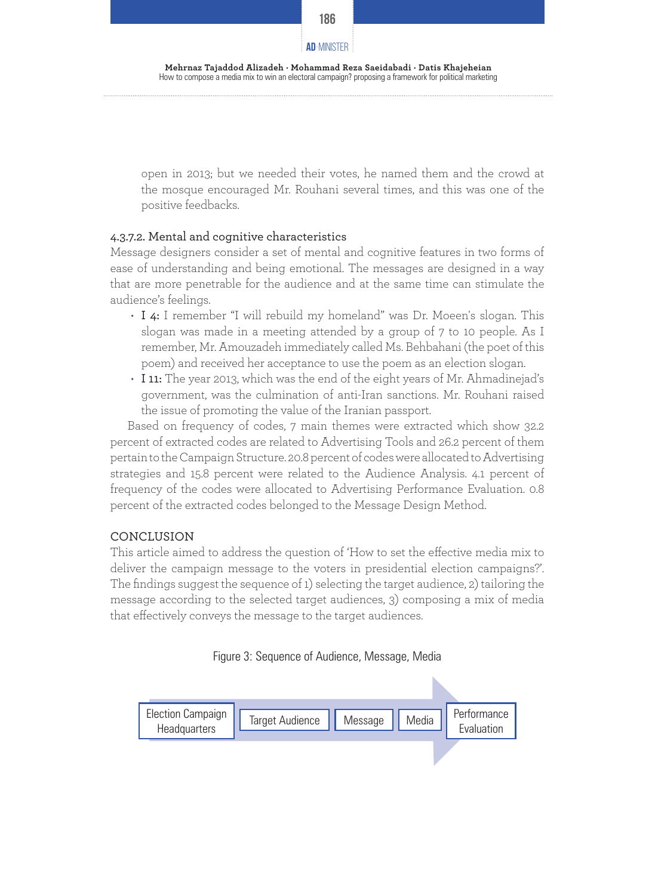

open in 2013; but we needed their votes, he named them and the crowd at the mosque encouraged Mr. Rouhani several times, and this was one of the positive feedbacks.

# 4.3.7.2. Mental and cognitive characteristics

Message designers consider a set of mental and cognitive features in two forms of ease of understanding and being emotional. The messages are designed in a way that are more penetrable for the audience and at the same time can stimulate the audience's feelings.

- I 4: I remember "I will rebuild my homeland" was Dr. Moeen's slogan. This slogan was made in a meeting attended by a group of 7 to 10 people. As I remember, Mr. Amouzadeh immediately called Ms. Behbahani (the poet of this poem) and received her acceptance to use the poem as an election slogan.
- I 11: The year 2013, which was the end of the eight years of Mr. Ahmadinejad's government, was the culmination of anti-Iran sanctions. Mr. Rouhani raised the issue of promoting the value of the Iranian passport.

Based on frequency of codes, 7 main themes were extracted which show 32.2 percent of extracted codes are related to Advertising Tools and 26.2 percent of them pertain to the Campaign Structure. 20.8 percent of codes were allocated to Advertising strategies and 15.8 percent were related to the Audience Analysis. 4.1 percent of frequency of the codes were allocated to Advertising Performance Evaluation. 0.8 percent of the extracted codes belonged to the Message Design Method.

# **CONCLUSION**

This article aimed to address the question of 'How to set the effective media mix to deliver the campaign message to the voters in presidential election campaigns?'. The findings suggest the sequence of 1) selecting the target audience, 2) tailoring the message according to the selected target audiences, 3) composing a mix of media that effectively conveys the message to the target audiences.



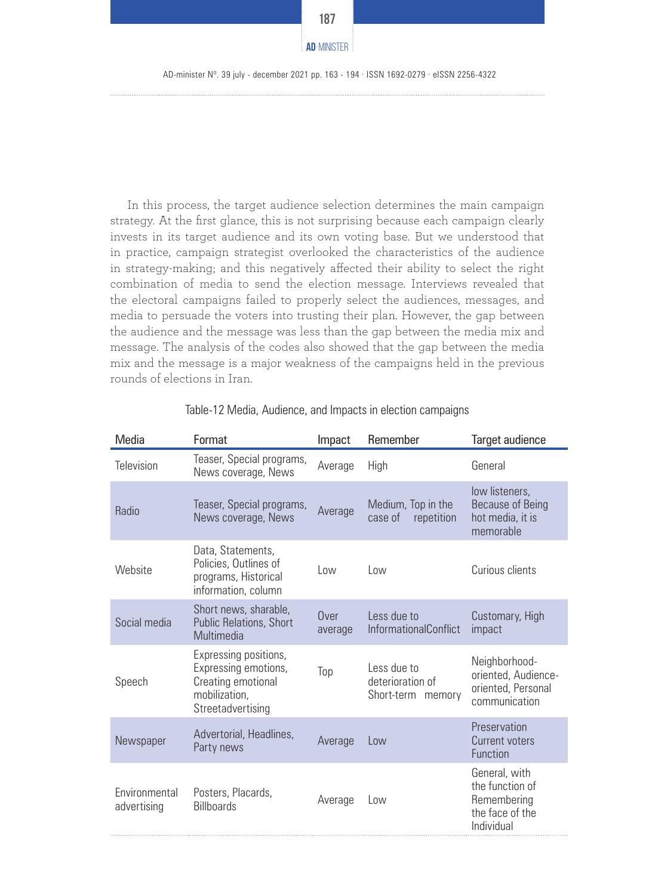

In this process, the target audience selection determines the main campaign strategy. At the first glance, this is not surprising because each campaign clearly invests in its target audience and its own voting base. But we understood that in practice, campaign strategist overlooked the characteristics of the audience in strategy-making; and this negatively affected their ability to select the right combination of media to send the election message. Interviews revealed that the electoral campaigns failed to properly select the audiences, messages, and media to persuade the voters into trusting their plan. However, the gap between the audience and the message was less than the gap between the media mix and message. The analysis of the codes also showed that the gap between the media mix and the message is a major weakness of the campaigns held in the previous rounds of elections in Iran.

| Media                        | Format                                                                                                    | Impact          | Remember                                             | Target audience                                                                  |
|------------------------------|-----------------------------------------------------------------------------------------------------------|-----------------|------------------------------------------------------|----------------------------------------------------------------------------------|
| <b>Television</b>            | Teaser, Special programs,<br>News coverage, News                                                          | Average         | High                                                 | General                                                                          |
| Radio                        | Teaser, Special programs,<br>News coverage, News                                                          | Average         | Medium, Top in the<br>case of<br>repetition          | low listeners,<br><b>Because of Being</b><br>hot media, it is<br>memorable       |
| Website                      | Data, Statements,<br>Policies, Outlines of<br>programs, Historical<br>information, column                 | Low             | Low                                                  | Curious clients                                                                  |
| Social media                 | Short news, sharable,<br>Public Relations, Short<br>Multimedia                                            | Over<br>average | Less due to<br><b>InformationalConflict</b>          | Customary, High<br>impact                                                        |
| Speech                       | Expressing positions,<br>Expressing emotions,<br>Creating emotional<br>mobilization,<br>Streetadvertising | Top             | Less due to<br>deterioration of<br>Short-term memory | Neighborhood-<br>oriented, Audience-<br>oriented, Personal<br>communication      |
| Newspaper                    | Advertorial, Headlines,<br>Party news                                                                     | Average         | Low                                                  | Preservation<br>Current voters<br>Function                                       |
| Environmental<br>advertising | Posters, Placards,<br><b>Billboards</b>                                                                   | Average         | Low                                                  | General, with<br>the function of<br>Remembering<br>the face of the<br>Individual |

Table-12 Media, Audience, and Impacts in election campaigns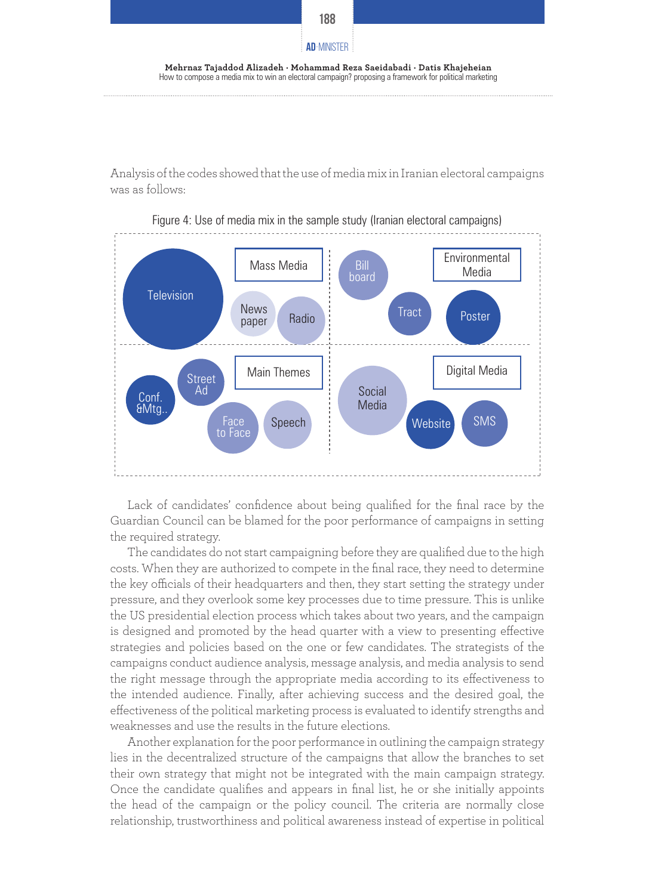

**Mehrnaz Tajaddod Alizadeh · Mohammad Reza Saeidabadi · Datis Khajeheian** How to compose a media mix to win an electoral campaign? proposing a framework for political marketing

Analysis of the codes showed that the use of media mix in Iranian electoral campaigns was as follows:



Figure 4: Use of media mix in the sample study (Iranian electoral campaigns)

Lack of candidates' confidence about being qualified for the final race by the Guardian Council can be blamed for the poor performance of campaigns in setting the required strategy.

The candidates do not start campaigning before they are qualified due to the high costs. When they are authorized to compete in the final race, they need to determine the key officials of their headquarters and then, they start setting the strategy under pressure, and they overlook some key processes due to time pressure. This is unlike the US presidential election process which takes about two years, and the campaign is designed and promoted by the head quarter with a view to presenting effective strategies and policies based on the one or few candidates. The strategists of the campaigns conduct audience analysis, message analysis, and media analysis to send the right message through the appropriate media according to its effectiveness to the intended audience. Finally, after achieving success and the desired goal, the effectiveness of the political marketing process is evaluated to identify strengths and weaknesses and use the results in the future elections.

Another explanation for the poor performance in outlining the campaign strategy lies in the decentralized structure of the campaigns that allow the branches to set their own strategy that might not be integrated with the main campaign strategy. Once the candidate qualifies and appears in final list, he or she initially appoints the head of the campaign or the policy council. The criteria are normally close relationship, trustworthiness and political awareness instead of expertise in political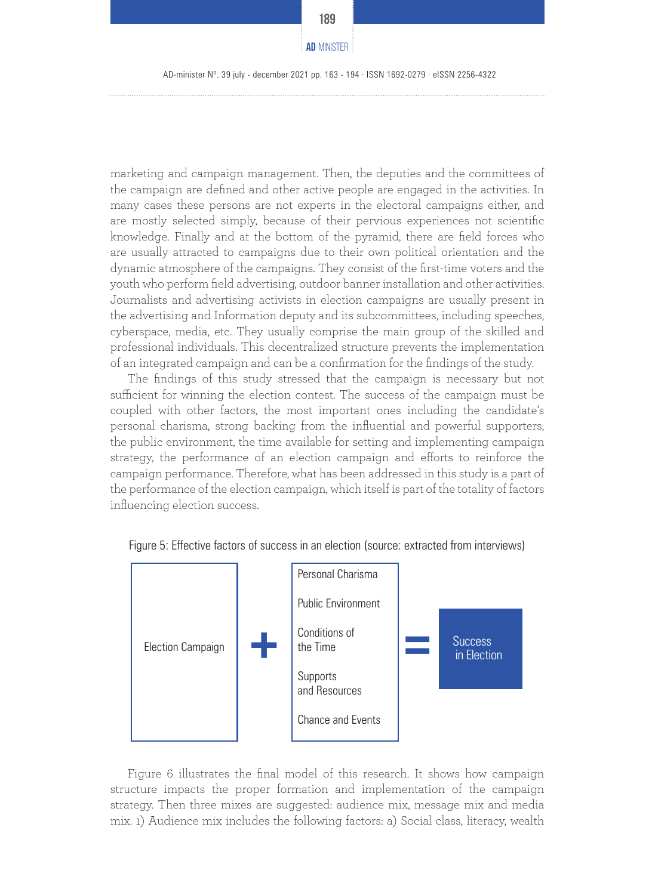marketing and campaign management. Then, the deputies and the committees of the campaign are defined and other active people are engaged in the activities. In many cases these persons are not experts in the electoral campaigns either, and are mostly selected simply, because of their pervious experiences not scientific knowledge. Finally and at the bottom of the pyramid, there are field forces who are usually attracted to campaigns due to their own political orientation and the dynamic atmosphere of the campaigns. They consist of the first-time voters and the youth who perform field advertising, outdoor banner installation and other activities. Journalists and advertising activists in election campaigns are usually present in the advertising and Information deputy and its subcommittees, including speeches, cyberspace, media, etc. They usually comprise the main group of the skilled and professional individuals. This decentralized structure prevents the implementation of an integrated campaign and can be a confirmation for the findings of the study.

The findings of this study stressed that the campaign is necessary but not sufficient for winning the election contest. The success of the campaign must be coupled with other factors, the most important ones including the candidate's personal charisma, strong backing from the influential and powerful supporters, the public environment, the time available for setting and implementing campaign strategy, the performance of an election campaign and efforts to reinforce the campaign performance. Therefore, what has been addressed in this study is a part of the performance of the election campaign, which itself is part of the totality of factors influencing election success.



Figure 5: Effective factors of success in an election (source: extracted from interviews)

Figure 6 illustrates the final model of this research. It shows how campaign structure impacts the proper formation and implementation of the campaign strategy. Then three mixes are suggested: audience mix, message mix and media mix. 1) Audience mix includes the following factors: a) Social class, literacy, wealth

**189**

**AD**-MINISTER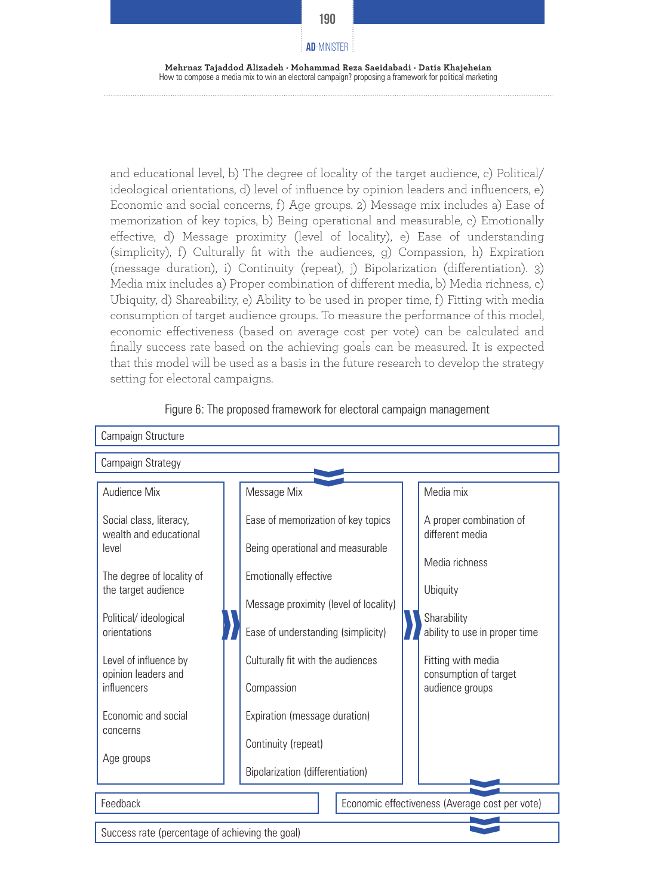

and educational level, b) The degree of locality of the target audience, c) Political/ ideological orientations, d) level of influence by opinion leaders and influencers, e) Economic and social concerns, f) Age groups. 2) Message mix includes a) Ease of memorization of key topics, b) Being operational and measurable, c) Emotionally effective, d) Message proximity (level of locality), e) Ease of understanding (simplicity), f) Culturally fit with the audiences, g) Compassion, h) Expiration (message duration), i) Continuity (repeat), j) Bipolarization (differentiation). 3) Media mix includes a) Proper combination of different media, b) Media richness, c) Ubiquity, d) Shareability, e) Ability to be used in proper time, f) Fitting with media consumption of target audience groups. To measure the performance of this model, economic effectiveness (based on average cost per vote) can be calculated and finally success rate based on the achieving goals can be measured. It is expected that this model will be used as a basis in the future research to develop the strategy setting for electoral campaigns.



**«**

Figure 6: The proposed framework for electoral campaign management

Success rate (percentage of achieving the goal)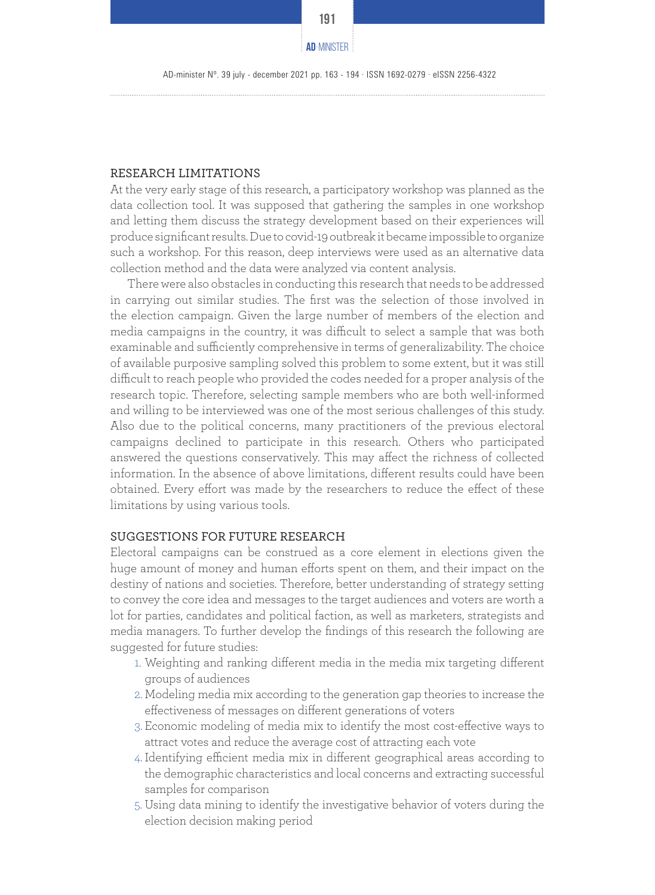AD-minister Nº. 39 july - december 2021 pp. 163 - 194 · ISSN 1692-0279 · eISSN 2256-4322

#### RESEARCH LIMITATIONS

At the very early stage of this research, a participatory workshop was planned as the data collection tool. It was supposed that gathering the samples in one workshop and letting them discuss the strategy development based on their experiences will produce significant results. Due to covid-19 outbreak it became impossible to organize such a workshop. For this reason, deep interviews were used as an alternative data collection method and the data were analyzed via content analysis.

There were also obstacles in conducting this research that needs to be addressed in carrying out similar studies. The first was the selection of those involved in the election campaign. Given the large number of members of the election and media campaigns in the country, it was difficult to select a sample that was both examinable and sufficiently comprehensive in terms of generalizability. The choice of available purposive sampling solved this problem to some extent, but it was still difficult to reach people who provided the codes needed for a proper analysis of the research topic. Therefore, selecting sample members who are both well-informed and willing to be interviewed was one of the most serious challenges of this study. Also due to the political concerns, many practitioners of the previous electoral campaigns declined to participate in this research. Others who participated answered the questions conservatively. This may affect the richness of collected information. In the absence of above limitations, different results could have been obtained. Every effort was made by the researchers to reduce the effect of these limitations by using various tools.

#### SUGGESTIONS FOR FUTURE RESEARCH

Electoral campaigns can be construed as a core element in elections given the huge amount of money and human efforts spent on them, and their impact on the destiny of nations and societies. Therefore, better understanding of strategy setting to convey the core idea and messages to the target audiences and voters are worth a lot for parties, candidates and political faction, as well as marketers, strategists and media managers. To further develop the findings of this research the following are suggested for future studies:

- 1. Weighting and ranking different media in the media mix targeting different groups of audiences
- 2. Modeling media mix according to the generation gap theories to increase the effectiveness of messages on different generations of voters
- 3. Economic modeling of media mix to identify the most cost-effective ways to attract votes and reduce the average cost of attracting each vote
- 4. Identifying efficient media mix in different geographical areas according to the demographic characteristics and local concerns and extracting successful samples for comparison
- 5. Using data mining to identify the investigative behavior of voters during the election decision making period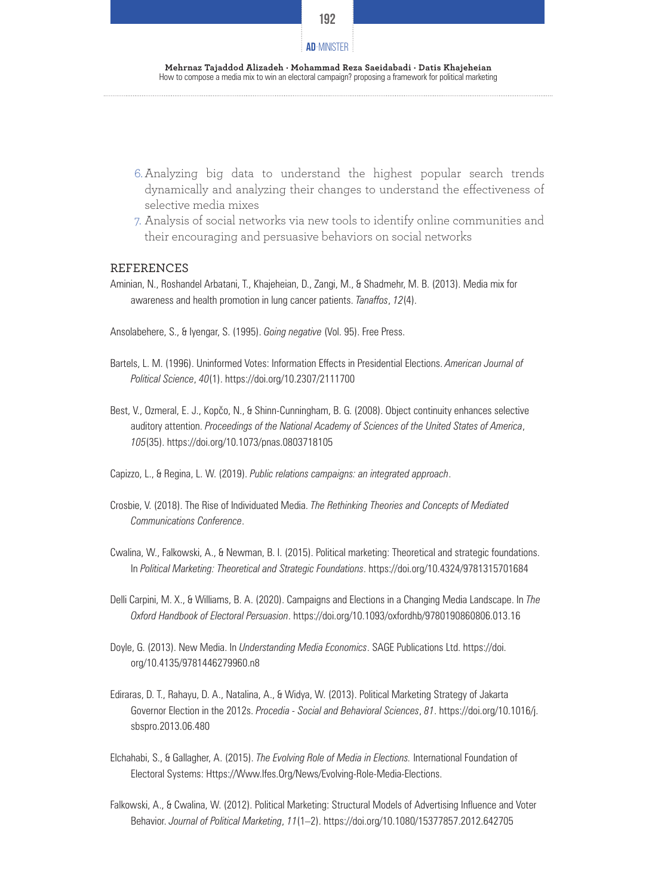

**Mehrnaz Tajaddod Alizadeh · Mohammad Reza Saeidabadi · Datis Khajeheian** How to compose a media mix to win an electoral campaign? proposing a framework for political marketing

- 6. Analyzing big data to understand the highest popular search trends dynamically and analyzing their changes to understand the effectiveness of selective media mixes
- 7. Analysis of social networks via new tools to identify online communities and their encouraging and persuasive behaviors on social networks

#### REFERENCES

- Aminian, N., Roshandel Arbatani, T., Khajeheian, D., Zangi, M., & Shadmehr, M. B. (2013). Media mix for awareness and health promotion in lung cancer patients. *Tanaffos*, *12*(4).
- Ansolabehere, S., & Iyengar, S. (1995). *Going negative* (Vol. 95). Free Press.
- Bartels, L. M. (1996). Uninformed Votes: Information Effects in Presidential Elections. *American Journal of Political Science*, *40*(1). https://doi.org/10.2307/2111700
- Best, V., Ozmeral, E. J., Kopčo, N., & Shinn-Cunningham, B. G. (2008). Object continuity enhances selective auditory attention. *Proceedings of the National Academy of Sciences of the United States of America*, *105*(35). https://doi.org/10.1073/pnas.0803718105
- Capizzo, L., & Regina, L. W. (2019). *Public relations campaigns: an integrated approach*.
- Crosbie, V. (2018). The Rise of Individuated Media. *The Rethinking Theories and Concepts of Mediated Communications Conference*.
- Cwalina, W., Falkowski, A., & Newman, B. I. (2015). Political marketing: Theoretical and strategic foundations. In *Political Marketing: Theoretical and Strategic Foundations*. https://doi.org/10.4324/9781315701684
- Delli Carpini, M. X., & Williams, B. A. (2020). Campaigns and Elections in a Changing Media Landscape. In *The Oxford Handbook of Electoral Persuasion*. https://doi.org/10.1093/oxfordhb/9780190860806.013.16
- Doyle, G. (2013). New Media. In *Understanding Media Economics*. SAGE Publications Ltd. https://doi. org/10.4135/9781446279960.n8
- Ediraras, D. T., Rahayu, D. A., Natalina, A., & Widya, W. (2013). Political Marketing Strategy of Jakarta Governor Election in the 2012s. *Procedia - Social and Behavioral Sciences*, *81*. https://doi.org/10.1016/j. sbspro.2013.06.480
- Elchahabi, S., & Gallagher, A. (2015). *The Evolving Role of Media in Elections.* International Foundation of Electoral Systems: Https://Www.Ifes.Org/News/Evolving-Role-Media-Elections.
- Falkowski, A., & Cwalina, W. (2012). Political Marketing: Structural Models of Advertising Influence and Voter Behavior. *Journal of Political Marketing*, *11*(1–2). https://doi.org/10.1080/15377857.2012.642705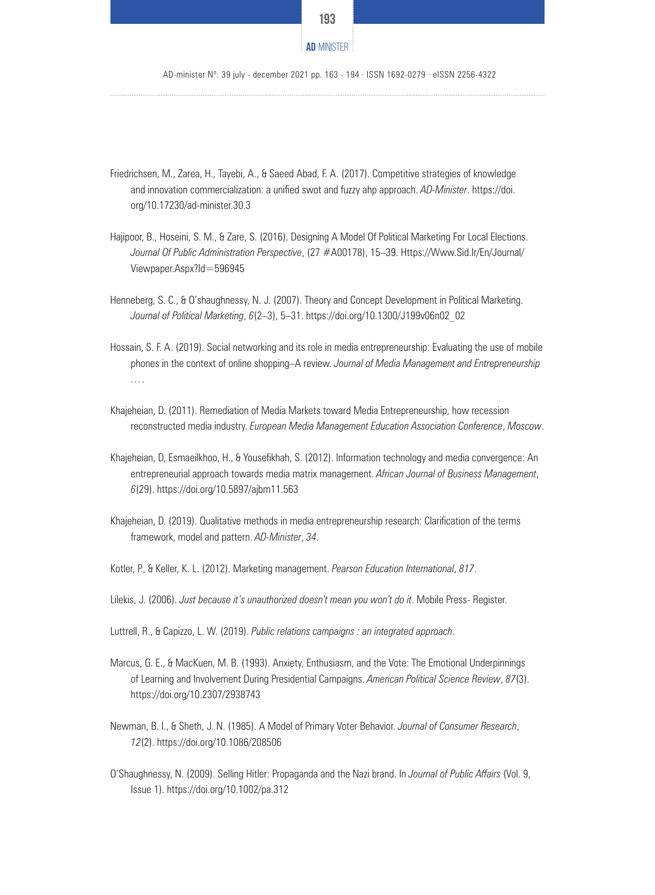

AD-minister Nº. 39 july - december 2021 pp. 163 - 194 · ISSN 1692-0279 · eISSN 2256-4322

- Friedrichsen, M., Zarea, H., Tayebi, A., & Saeed Abad, F. A. (2017). Competitive strategies of knowledge and innovation commercialization: a unified swot and fuzzy ahp approach. *AD-Minister*. https://doi. org/10.17230/ad-minister.30.3
- Hajipoor, B., Hoseini, S. M., & Zare, S. (2016). Designing A Model Of Political Marketing For Local Elections. *Journal Of Public Administration Perspective*, (27 #A00178), 15–39. Https://Www.Sid.Ir/En/Journal/ Viewpaper.Aspx?Id=596945
- Henneberg, S. C., & O'shaughnessy, N. J. (2007). Theory and Concept Development in Political Marketing. *Journal of Political Marketing*, *6*(2–3), 5–31. https://doi.org/10.1300/J199v06n02\_02
- Hossain, S. F. A. (2019). Social networking and its role in media entrepreneurship: Evaluating the use of mobile phones in the context of online shopping–A review. *Journal of Media Management and Entrepreneurship …*.
- Khajeheian, D. (2011). Remediation of Media Markets toward Media Entrepreneurship, how recession reconstructed media industry. *European Media Management Education Association Conference*, *Moscow*.
- Khajeheian, D, Esmaeilkhoo, H., & Yousefikhah, S. (2012). Information technology and media convergence: An entrepreneurial approach towards media matrix management. *African Journal of Business Management*, *6*(29). https://doi.org/10.5897/ajbm11.563
- Khajeheian, D. (2019). Qualitative methods in media entrepreneurship research: Clarification of the terms framework, model and pattern. *AD-Minister*, *34*.
- Kotler, P., & Keller, K. L. (2012). Marketing management. *Pearson Education International*, *817*.
- Lilekis, J. (2006). *Just because it's unauthorized doesn't mean you won't do it*. Mobile Press- Register.
- Luttrell, R., & Capizzo, L. W. (2019). *Public relations campaigns : an integrated approach*.
- Marcus, G. E., & MacKuen, M. B. (1993). Anxiety, Enthusiasm, and the Vote: The Emotional Underpinnings of Learning and Involvement During Presidential Campaigns. *American Political Science Review*, *87*(3). https://doi.org/10.2307/2938743
- Newman, B. I., & Sheth, J. N. (1985). A Model of Primary Voter Behavior. *Journal of Consumer Research*, *12*(2). https://doi.org/10.1086/208506
- O'Shaughnessy, N. (2009). Selling Hitler: Propaganda and the Nazi brand. In *Journal of Public Affairs* (Vol. 9, Issue 1). https://doi.org/10.1002/pa.312